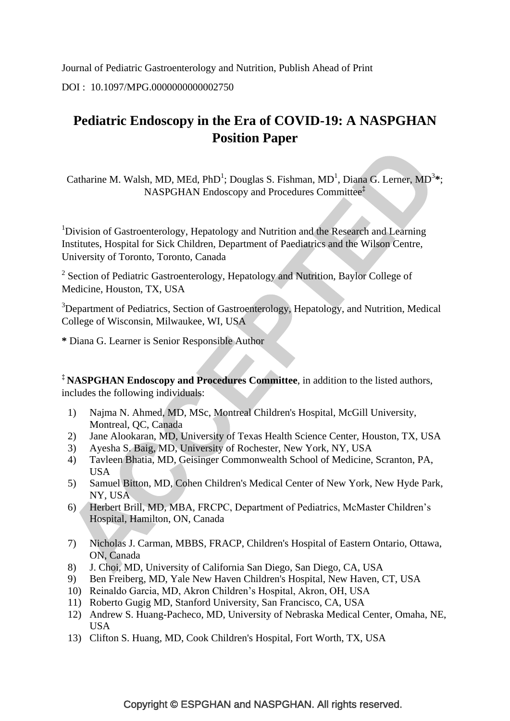Journal of Pediatric Gastroenterology and Nutrition, Publish Ahead of Print DOI : 10.1097/MPG.0000000000002750

# **Pediatric Endoscopy in the Era of COVID-19: A NASPGHAN Position Paper**

Catharine M. Walsh, MD, MEd, PhD<sup>1</sup>; Douglas S. Fishman, MD<sup>1</sup>, Diana G. Lerner, MD<sup>3</sup>\*; NASPGHAN Endoscopy and Procedures Committee**‡**

<sup>1</sup>Division of Gastroenterology, Hepatology and Nutrition and the Research and Learning Institutes, Hospital for Sick Children, Department of Paediatrics and the Wilson Centre, University of Toronto, Toronto, Canada

<sup>2</sup> Section of Pediatric Gastroenterology, Hepatology and Nutrition, Baylor College of Medicine, Houston, TX, USA

<sup>3</sup>Department of Pediatrics, Section of Gastroenterology, Hepatology, and Nutrition, Medical College of Wisconsin, Milwaukee, WI, USA

**\*** Diana G. Learner is Senior Responsible Author

**‡ NASPGHAN Endoscopy and Procedures Committee**, in addition to the listed authors, includes the following individuals:

- 1) Najma N. Ahmed, MD, MSc, Montreal Children's Hospital, McGill University, Montreal, QC, Canada
- 2) Jane Alookaran, MD, University of Texas Health Science Center, Houston, TX, USA
- 3) Ayesha S. Baig, MD, University of Rochester, New York, NY, USA
- 4) Tavleen Bhatia, MD, Geisinger Commonwealth School of Medicine, Scranton, PA, USA
- 5) Samuel Bitton, MD, Cohen Children's Medical Center of New York, New Hyde Park, NY, USA
- 6) Herbert Brill, MD, MBA, FRCPC, Department of Pediatrics, McMaster Children"s Hospital, Hamilton, ON, Canada
- 7) Nicholas J. Carman, MBBS, FRACP, Children's Hospital of Eastern Ontario, Ottawa, ON, Canada
- 8) J. Choi, MD, University of California San Diego, San Diego, CA, USA
- 9) Ben Freiberg, MD, Yale New Haven Children's Hospital, New Haven, CT, USA
- 10) Reinaldo Garcia, MD, Akron Children"s Hospital, Akron, OH, USA
- 11) Roberto Gugig MD, Stanford University, San Francisco, CA, USA
- 12) Andrew S. Huang-Pacheco, MD, University of Nebraska Medical Center, Omaha, NE, **USA**
- 13) Clifton S. Huang, MD, Cook Children's Hospital, Fort Worth, TX, USA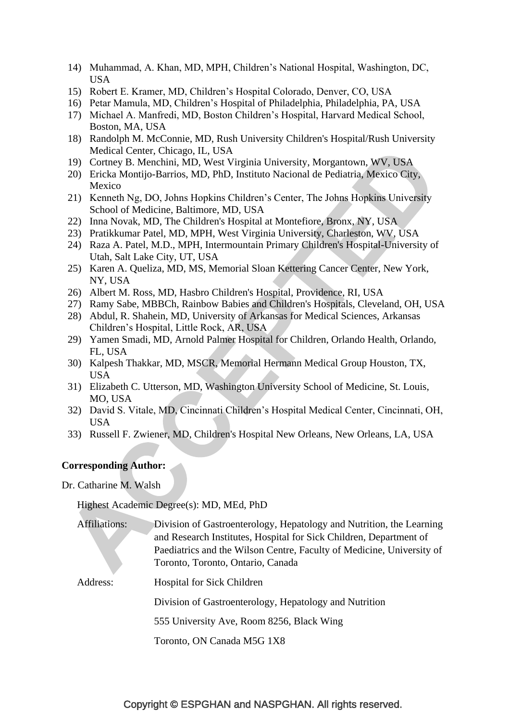- 14) Muhammad, A. Khan, MD, MPH, Children"s National Hospital, Washington, DC, USA
- 15) Robert E. Kramer, MD, Children"s Hospital Colorado, Denver, CO, USA
- 16) Petar Mamula, MD, Children"s Hospital of Philadelphia, Philadelphia, PA, USA
- 17) Michael A. Manfredi, MD, Boston Children"s Hospital, Harvard Medical School, Boston, MA, USA
- 18) Randolph M. McConnie, MD, Rush University Children's Hospital/Rush University Medical Center, Chicago, IL, USA
- 19) Cortney B. Menchini, MD, West Virginia University, Morgantown, WV, USA
- 20) Ericka Montijo-Barrios, MD, PhD, Instituto Nacional de Pediatria, Mexico City, Mexico
- 21) Kenneth Ng, DO, Johns Hopkins Children"s Center, The Johns Hopkins University School of Medicine, Baltimore, MD, USA
- 22) Inna Novak, MD, The Children's Hospital at Montefiore, Bronx, NY, USA
- 23) Pratikkumar Patel, MD, MPH, West Virginia University, Charleston, WV, USA
- 24) Raza A. Patel, M.D., MPH, Intermountain Primary Children's Hospital-University of Utah, Salt Lake City, UT, USA
- 25) Karen A. Queliza, MD, MS, Memorial Sloan Kettering Cancer Center, New York, NY, USA
- 26) Albert M. Ross, MD, Hasbro Children's Hospital, Providence, RI, USA
- 27) Ramy Sabe, MBBCh, Rainbow Babies and Children's Hospitals, Cleveland, OH, USA
- 28) Abdul, R. Shahein, MD, University of Arkansas for Medical Sciences, Arkansas Children"s Hospital, Little Rock, AR, USA
- 29) Yamen Smadi, MD, Arnold Palmer Hospital for Children, Orlando Health, Orlando, FL, USA
- 30) Kalpesh Thakkar, MD, MSCR, Memorial Hermann Medical Group Houston, TX, **USA**
- 31) Elizabeth C. Utterson, MD, Washington University School of Medicine, St. Louis, MO, USA
- 32) David S. Vitale, MD, Cincinnati Children"s Hospital Medical Center, Cincinnati, OH, USA
- 33) Russell F. Zwiener, MD, Children's Hospital New Orleans, New Orleans, LA, USA

#### **Corresponding Author:**

Dr. Catharine M. Walsh

Highest Academic Degree(s): MD, MEd, PhD

| Affiliations: | Division of Gastroenterology, Hepatology and Nutrition, the Learning  |
|---------------|-----------------------------------------------------------------------|
|               | and Research Institutes, Hospital for Sick Children, Department of    |
|               | Paediatrics and the Wilson Centre, Faculty of Medicine, University of |
|               | Toronto, Toronto, Ontario, Canada                                     |
|               |                                                                       |

Address: Hospital for Sick Children

Division of Gastroenterology, Hepatology and Nutrition

555 University Ave, Room 8256, Black Wing

Toronto, ON Canada M5G 1X8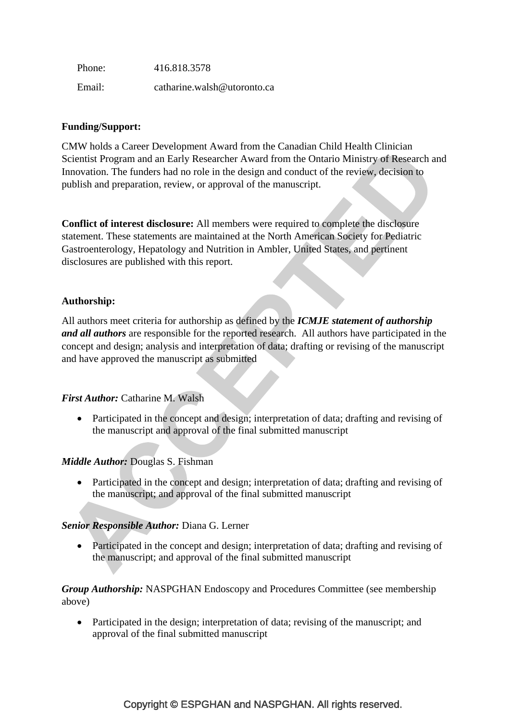Phone: 416.818.3578 Email: catharine.walsh@utoronto.ca

# **Funding/Support:**

CMW holds a Career Development Award from the Canadian Child Health Clinician Scientist Program and an Early Researcher Award from the Ontario Ministry of Research and Innovation. The funders had no role in the design and conduct of the review, decision to publish and preparation, review, or approval of the manuscript.

**Conflict of interest disclosure:** All members were required to complete the disclosure statement. These statements are maintained at the North American Society for Pediatric Gastroenterology, Hepatology and Nutrition in Ambler, United States, and pertinent disclosures are published with this report.

# **Authorship:**

All authors meet criteria for authorship as defined by the *ICMJE statement of authorship and all authors* are responsible for the reported research. All authors have participated in the concept and design; analysis and interpretation of data; drafting or revising of the manuscript and have approved the manuscript as submitted

# *First Author:* Catharine M. Walsh

• Participated in the concept and design; interpretation of data; drafting and revising of the manuscript and approval of the final submitted manuscript

# *Middle Author:* Douglas S. Fishman

• Participated in the concept and design; interpretation of data; drafting and revising of the manuscript; and approval of the final submitted manuscript

# *Senior Responsible Author:* Diana G. Lerner

• Participated in the concept and design; interpretation of data; drafting and revising of the manuscript; and approval of the final submitted manuscript

*Group Authorship:* NASPGHAN Endoscopy and Procedures Committee (see membership above)

• Participated in the design; interpretation of data; revising of the manuscript; and approval of the final submitted manuscript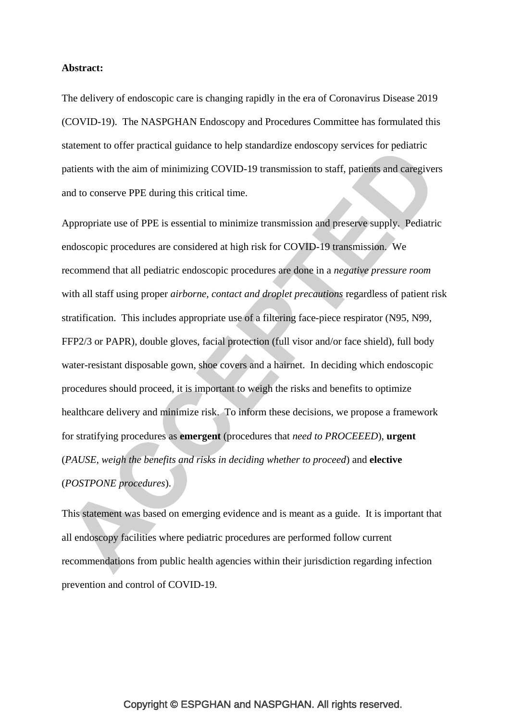#### **Abstract:**

The delivery of endoscopic care is changing rapidly in the era of Coronavirus Disease 2019 (COVID-19). The NASPGHAN Endoscopy and Procedures Committee has formulated this statement to offer practical guidance to help standardize endoscopy services for pediatric patients with the aim of minimizing COVID-19 transmission to staff, patients and caregivers and to conserve PPE during this critical time.

Appropriate use of PPE is essential to minimize transmission and preserve supply. Pediatric endoscopic procedures are considered at high risk for COVID-19 transmission. We recommend that all pediatric endoscopic procedures are done in a *negative pressure room*  with all staff using proper *airborne, contact and droplet precautions* regardless of patient risk stratification. This includes appropriate use of a filtering face-piece respirator (N95, N99, FFP2/3 or PAPR), double gloves, facial protection (full visor and/or face shield), full body water-resistant disposable gown, shoe covers and a hairnet. In deciding which endoscopic procedures should proceed, it is important to weigh the risks and benefits to optimize healthcare delivery and minimize risk. To inform these decisions, we propose a framework for stratifying procedures as **emergent** (procedures that *need to PROCEEED*), **urgent**  (*PAUSE, weigh the benefits and risks in deciding whether to proceed*) and **elective** (*POSTPONE procedures*).

This statement was based on emerging evidence and is meant as a guide. It is important that all endoscopy facilities where pediatric procedures are performed follow current recommendations from public health agencies within their jurisdiction regarding infection prevention and control of COVID-19.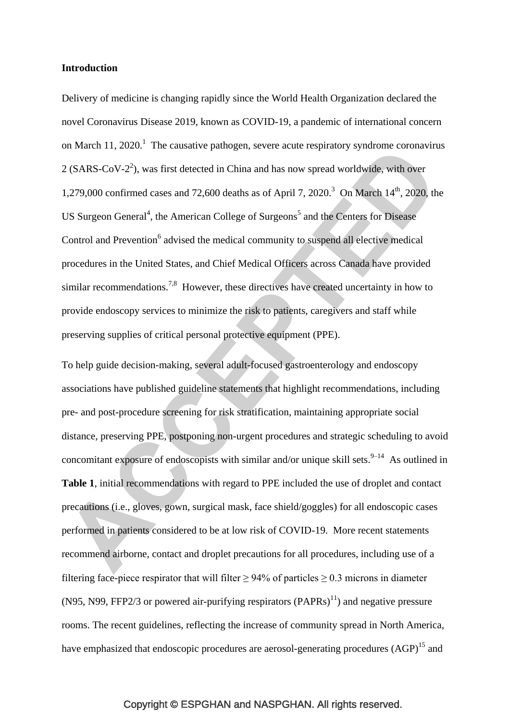#### **Introduction**

Delivery of medicine is changing rapidly since the World Health Organization declared the novel Coronavirus Disease 2019, known as COVID-19, a pandemic of international concern on March 11, 2020.<sup>1</sup> The causative pathogen, severe acute respiratory syndrome coronavirus  $2$  (SARS-CoV- $2<sup>2</sup>$ ), was first detected in China and has now spread worldwide, with over 1,279,000 confirmed cases and 72,600 deaths as of April 7, 2020.<sup>3</sup> On March  $14<sup>th</sup>$ , 2020, the US Surgeon General<sup>4</sup>, the American College of Surgeons<sup>5</sup> and the Centers for Disease Control and Prevention<sup>6</sup> advised the medical community to suspend all elective medical procedures in the United States, and Chief Medical Officers across Canada have provided similar recommendations.<sup>7,8</sup> However, these directives have created uncertainty in how to provide endoscopy services to minimize the risk to patients, caregivers and staff while preserving supplies of critical personal protective equipment (PPE).

To help guide decision-making, several adult-focused gastroenterology and endoscopy associations have published guideline statements that highlight recommendations, including pre- and post-procedure screening for risk stratification, maintaining appropriate social distance, preserving PPE, postponing non-urgent procedures and strategic scheduling to avoid concomitant exposure of endoscopists with similar and/or unique skill sets. $9-14$  As outlined in **Table 1**, initial recommendations with regard to PPE included the use of droplet and contact precautions (i.e., gloves, gown, surgical mask, face shield/goggles) for all endoscopic cases performed in patients considered to be at low risk of COVID-19. More recent statements recommend airborne, contact and droplet precautions for all procedures, including use of a filtering face-piece respirator that will filter  $\geq$  94% of particles  $\geq$  0.3 microns in diameter (N95, N99, FFP2/3 or powered air-purifying respirators  $(PAPRs)^{11}$ ) and negative pressure rooms. The recent guidelines, reflecting the increase of community spread in North America, have emphasized that endoscopic procedures are aerosol-generating procedures (AGP)<sup>15</sup> and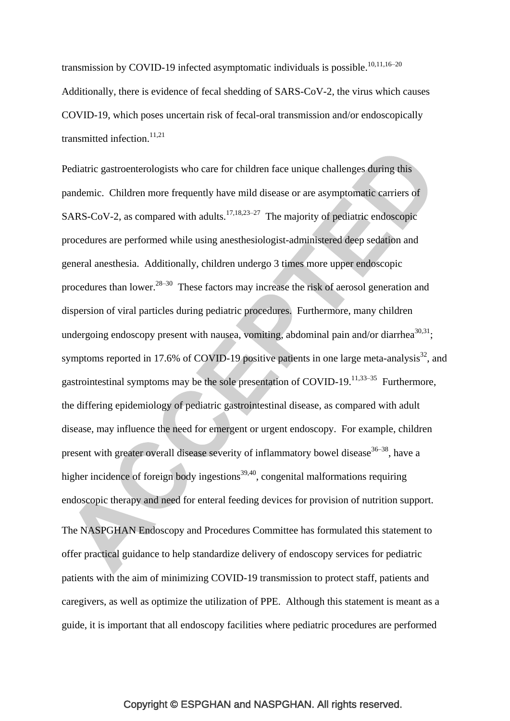transmission by COVID-19 infected asymptomatic individuals is possible.<sup>10,11,16–20</sup> Additionally, there is evidence of fecal shedding of SARS-CoV-2, the virus which causes COVID-19, which poses uncertain risk of fecal-oral transmission and/or endoscopically transmitted infection.<sup>11,21</sup>

Pediatric gastroenterologists who care for children face unique challenges during this pandemic. Children more frequently have mild disease or are asymptomatic carriers of SARS-CoV-2, as compared with adults.<sup>17,18,23-27</sup> The majority of pediatric endoscopic procedures are performed while using anesthesiologist-administered deep sedation and general anesthesia. Additionally, children undergo 3 times more upper endoscopic procedures than lower. $28-30$  These factors may increase the risk of aerosol generation and dispersion of viral particles during pediatric procedures. Furthermore, many children undergoing endoscopy present with nausea, vomiting, abdominal pain and/or diarrhea $^{30,31}$ ; symptoms reported in 17.6% of COVID-19 positive patients in one large meta-analysis $^{32}$ , and gastrointestinal symptoms may be the sole presentation of COVID-19.<sup>11,33–35</sup> Furthermore, the differing epidemiology of pediatric gastrointestinal disease, as compared with adult disease, may influence the need for emergent or urgent endoscopy. For example, children present with greater overall disease severity of inflammatory bowel disease  $36-38$ , have a higher incidence of foreign body ingestions<sup>39,40</sup>, congenital malformations requiring endoscopic therapy and need for enteral feeding devices for provision of nutrition support.

The NASPGHAN Endoscopy and Procedures Committee has formulated this statement to offer practical guidance to help standardize delivery of endoscopy services for pediatric patients with the aim of minimizing COVID-19 transmission to protect staff, patients and caregivers, as well as optimize the utilization of PPE. Although this statement is meant as a guide, it is important that all endoscopy facilities where pediatric procedures are performed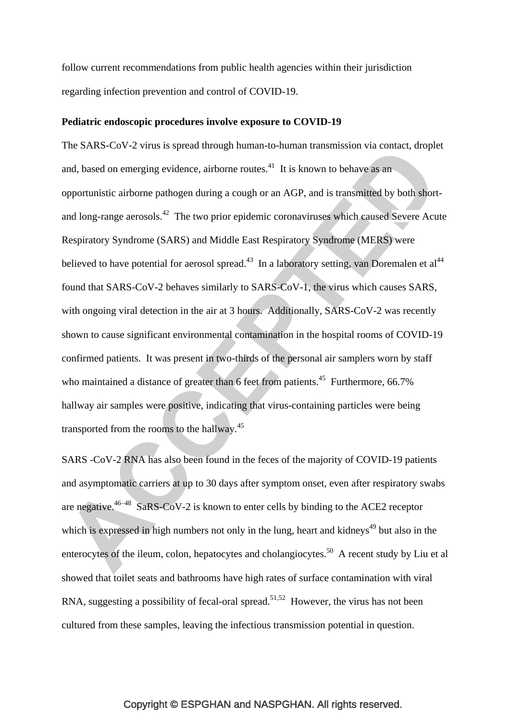follow current recommendations from public health agencies within their jurisdiction regarding infection prevention and control of COVID-19.

#### **Pediatric endoscopic procedures involve exposure to COVID-19**

The SARS-CoV-2 virus is spread through human-to-human transmission via contact, droplet and, based on emerging evidence, airborne routes. $41$  It is known to behave as an opportunistic airborne pathogen during a cough or an AGP, and is transmitted by both shortand long-range aerosols.<sup>42</sup> The two prior epidemic coronaviruses which caused Severe Acute Respiratory Syndrome (SARS) and Middle East Respiratory Syndrome (MERS) were believed to have potential for aerosol spread.<sup>43</sup> In a laboratory setting, van Doremalen et al<sup>44</sup> found that SARS-CoV-2 behaves similarly to SARS-CoV-1, the virus which causes SARS, with ongoing viral detection in the air at 3 hours. Additionally, SARS-CoV-2 was recently shown to cause significant environmental contamination in the hospital rooms of COVID-19 confirmed patients. It was present in two-thirds of the personal air samplers worn by staff who maintained a distance of greater than 6 feet from patients.<sup>45</sup> Furthermore, 66.7% hallway air samples were positive, indicating that virus-containing particles were being transported from the rooms to the hallway.<sup>45</sup>

SARS -CoV-2 RNA has also been found in the feces of the majority of COVID-19 patients and asymptomatic carriers at up to 30 days after symptom onset, even after respiratory swabs are negative.  $46-48$  SaRS-CoV-2 is known to enter cells by binding to the ACE2 receptor which is expressed in high numbers not only in the lung, heart and kidneys<sup> $49$ </sup> but also in the enterocytes of the ileum, colon, hepatocytes and cholangiocytes.<sup>50</sup> A recent study by Liu et al showed that toilet seats and bathrooms have high rates of surface contamination with viral RNA, suggesting a possibility of fecal-oral spread.<sup>51,52</sup> However, the virus has not been cultured from these samples, leaving the infectious transmission potential in question.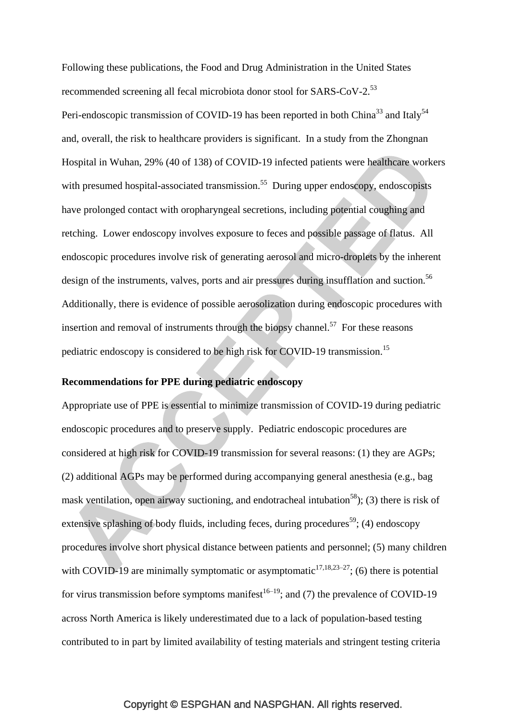Following these publications, the Food and Drug Administration in the United States recommended screening all fecal microbiota donor stool for SARS-CoV-2.<sup>53</sup> Peri-endoscopic transmission of COVID-19 has been reported in both China<sup>33</sup> and Italy<sup>54</sup> and, overall, the risk to healthcare providers is significant. In a study from the Zhongnan Hospital in Wuhan, 29% (40 of 138) of COVID-19 infected patients were healthcare workers with presumed hospital-associated transmission.<sup>55</sup> During upper endoscopy, endoscopists have prolonged contact with oropharyngeal secretions, including potential coughing and retching. Lower endoscopy involves exposure to feces and possible passage of flatus. All endoscopic procedures involve risk of generating aerosol and micro-droplets by the inherent design of the instruments, valves, ports and air pressures during insufflation and suction.<sup>56</sup> Additionally, there is evidence of possible aerosolization during endoscopic procedures with insertion and removal of instruments through the biopsy channel.<sup>57</sup> For these reasons pediatric endoscopy is considered to be high risk for COVID-19 transmission.<sup>15</sup>

#### **Recommendations for PPE during pediatric endoscopy**

Appropriate use of PPE is essential to minimize transmission of COVID-19 during pediatric endoscopic procedures and to preserve supply. Pediatric endoscopic procedures are considered at high risk for COVID-19 transmission for several reasons: (1) they are AGPs; (2) additional AGPs may be performed during accompanying general anesthesia (e.g., bag mask ventilation, open airway suctioning, and endotracheal intubation<sup>58</sup>); (3) there is risk of extensive splashing of body fluids, including feces, during procedures<sup>59</sup>; (4) endoscopy procedures involve short physical distance between patients and personnel; (5) many children with COVID-19 are minimally symptomatic or asymptomatic<sup>17,18,23–27</sup>; (6) there is potential for virus transmission before symptoms manifest<sup>16–19</sup>; and (7) the prevalence of COVID-19 across North America is likely underestimated due to a lack of population-based testing contributed to in part by limited availability of testing materials and stringent testing criteria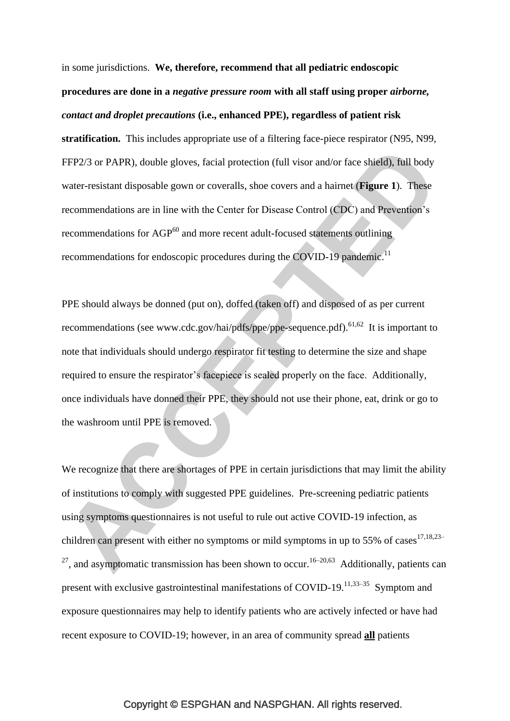in some jurisdictions. **We, therefore, recommend that all pediatric endoscopic procedures are done in a** *negative pressure room* **with all staff using proper** *airborne, contact and droplet precautions* **(i.e., enhanced PPE), regardless of patient risk stratification.** This includes appropriate use of a filtering face-piece respirator (N95, N99, FFP2/3 or PAPR), double gloves, facial protection (full visor and/or face shield), full body water-resistant disposable gown or coveralls, shoe covers and a hairnet (**Figure 1**). These recommendations are in line with the Center for Disease Control (CDC) and Prevention"s recommendations for AGP<sup>60</sup> and more recent adult-focused statements outlining recommendations for endoscopic procedures during the COVID-19 pandemic.<sup>11</sup>

PPE should always be donned (put on), doffed (taken off) and disposed of as per current recommendations (see www.cdc.gov/hai/pdfs/ppe/ppe-sequence.pdf). <sup>61,62</sup> It is important to note that individuals should undergo respirator fit testing to determine the size and shape required to ensure the respirator's facepiece is sealed properly on the face. Additionally, once individuals have donned their PPE, they should not use their phone, eat, drink or go to the washroom until PPE is removed.

We recognize that there are shortages of PPE in certain jurisdictions that may limit the ability of institutions to comply with suggested PPE guidelines. Pre-screening pediatric patients using symptoms questionnaires is not useful to rule out active COVID-19 infection, as children can present with either no symptoms or mild symptoms in up to 55% of cases<sup>17,18,23–</sup> <sup>27</sup>, and asymptomatic transmission has been shown to occur.<sup>16–20,63</sup> Additionally, patients can present with exclusive gastrointestinal manifestations of COVID-19.<sup>11,33-35</sup> Symptom and exposure questionnaires may help to identify patients who are actively infected or have had recent exposure to COVID-19; however, in an area of community spread **all** patients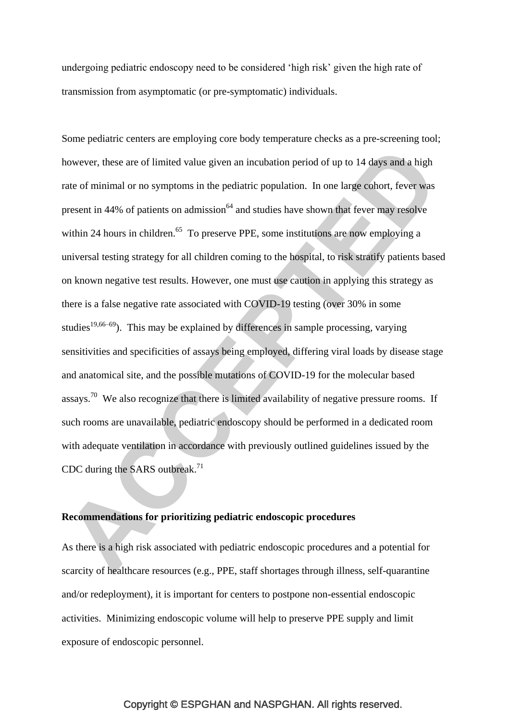undergoing pediatric endoscopy need to be considered "high risk" given the high rate of transmission from asymptomatic (or pre-symptomatic) individuals.

Some pediatric centers are employing core body temperature checks as a pre-screening tool; however, these are of limited value given an incubation period of up to 14 days and a high rate of minimal or no symptoms in the pediatric population. In one large cohort, fever was present in  $44\%$  of patients on admission<sup> $64$ </sup> and studies have shown that fever may resolve within 24 hours in children.<sup>65</sup> To preserve PPE, some institutions are now employing a universal testing strategy for all children coming to the hospital, to risk stratify patients based on known negative test results. However, one must use caution in applying this strategy as there is a false negative rate associated with COVID-19 testing (over 30% in some studies<sup>19,66–69</sup>). This may be explained by differences in sample processing, varying sensitivities and specificities of assays being employed, differing viral loads by disease stage and anatomical site, and the possible mutations of COVID-19 for the molecular based assays.<sup>70</sup> We also recognize that there is limited availability of negative pressure rooms. If such rooms are unavailable, pediatric endoscopy should be performed in a dedicated room with adequate ventilation in accordance with previously outlined guidelines issued by the CDC during the SARS outbreak.<sup>71</sup>

# **Recommendations for prioritizing pediatric endoscopic procedures**

As there is a high risk associated with pediatric endoscopic procedures and a potential for scarcity of healthcare resources (e.g., PPE, staff shortages through illness, self-quarantine and/or redeployment), it is important for centers to postpone non-essential endoscopic activities. Minimizing endoscopic volume will help to preserve PPE supply and limit exposure of endoscopic personnel.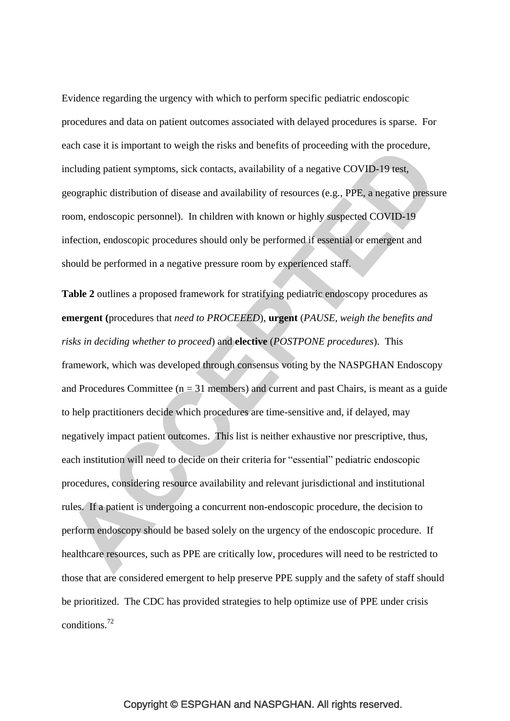Evidence regarding the urgency with which to perform specific pediatric endoscopic procedures and data on patient outcomes associated with delayed procedures is sparse. For each case it is important to weigh the risks and benefits of proceeding with the procedure, including patient symptoms, sick contacts, availability of a negative COVID-19 test, geographic distribution of disease and availability of resources (e.g., PPE, a negative pressure room, endoscopic personnel). In children with known or highly suspected COVID-19 infection, endoscopic procedures should only be performed if essential or emergent and should be performed in a negative pressure room by experienced staff.

**Table 2** outlines a proposed framework for stratifying pediatric endoscopy procedures as **emergent (**procedures that *need to PROCEEED*), **urgent** (*PAUSE, weigh the benefits and risks in deciding whether to proceed*) and **elective** (*POSTPONE procedures*). This framework, which was developed through consensus voting by the NASPGHAN Endoscopy and Procedures Committee ( $n = 31$  members) and current and past Chairs, is meant as a guide to help practitioners decide which procedures are time-sensitive and, if delayed, may negatively impact patient outcomes. This list is neither exhaustive nor prescriptive, thus, each institution will need to decide on their criteria for "essential" pediatric endoscopic procedures, considering resource availability and relevant jurisdictional and institutional rules. If a patient is undergoing a concurrent non-endoscopic procedure, the decision to perform endoscopy should be based solely on the urgency of the endoscopic procedure. If healthcare resources, such as PPE are critically low, procedures will need to be restricted to those that are considered emergent to help preserve PPE supply and the safety of staff should be prioritized. The CDC has provided strategies to help optimize use of PPE under crisis conditions.<sup>72</sup>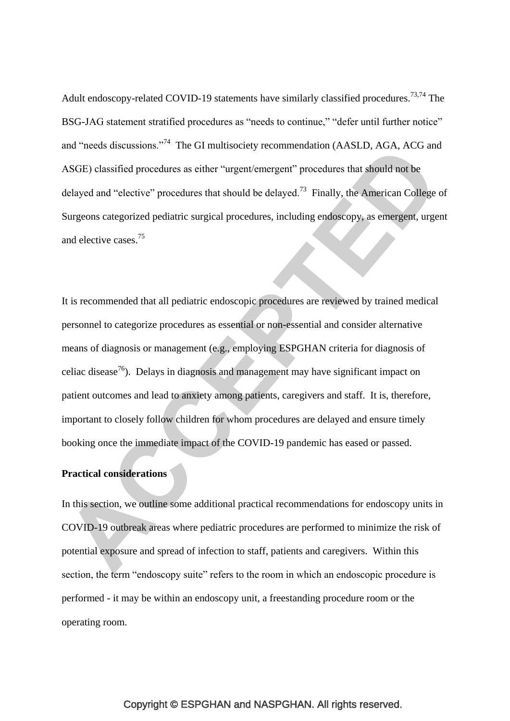Adult endoscopy-related COVID-19 statements have similarly classified procedures.<sup>73,74</sup> The BSG-JAG statement stratified procedures as "needs to continue," "defer until further notice" and "needs discussions."<sup>74</sup> The GI multisociety recommendation (AASLD, AGA, ACG and ASGE) classified procedures as either "urgent/emergent" procedures that should not be delayed and "elective" procedures that should be delayed.<sup>73</sup> Finally, the American College of Surgeons categorized pediatric surgical procedures, including endoscopy, as emergent, urgent and elective cases.<sup>75</sup>

It is recommended that all pediatric endoscopic procedures are reviewed by trained medical personnel to categorize procedures as essential or non-essential and consider alternative means of diagnosis or management (e.g., employing ESPGHAN criteria for diagnosis of celiac disease<sup>76</sup>). Delays in diagnosis and management may have significant impact on patient outcomes and lead to anxiety among patients, caregivers and staff. It is, therefore, important to closely follow children for whom procedures are delayed and ensure timely booking once the immediate impact of the COVID-19 pandemic has eased or passed.

#### **Practical considerations**

In this section, we outline some additional practical recommendations for endoscopy units in COVID-19 outbreak areas where pediatric procedures are performed to minimize the risk of potential exposure and spread of infection to staff, patients and caregivers. Within this section, the term "endoscopy suite" refers to the room in which an endoscopic procedure is performed - it may be within an endoscopy unit, a freestanding procedure room or the operating room.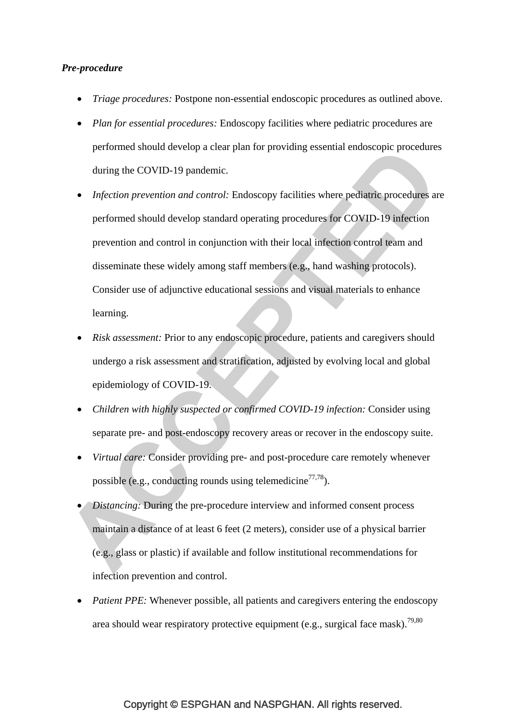#### *Pre-procedure*

- *Triage procedures:* Postpone non-essential endoscopic procedures as outlined above.
- *Plan for essential procedures:* Endoscopy facilities where pediatric procedures are performed should develop a clear plan for providing essential endoscopic procedures during the COVID-19 pandemic.
- *Infection prevention and control:* Endoscopy facilities where pediatric procedures are performed should develop standard operating procedures for COVID-19 infection prevention and control in conjunction with their local infection control team and disseminate these widely among staff members (e.g., hand washing protocols). Consider use of adjunctive educational sessions and visual materials to enhance learning.
- *Risk assessment:* Prior to any endoscopic procedure, patients and caregivers should undergo a risk assessment and stratification, adjusted by evolving local and global epidemiology of COVID-19.
- *Children with highly suspected or confirmed COVID-19 infection:* Consider using separate pre- and post-endoscopy recovery areas or recover in the endoscopy suite.
- *Virtual care:* Consider providing pre- and post-procedure care remotely whenever possible (e.g., conducting rounds using telemedicine<sup>77,78</sup>).
- *Distancing:* During the pre-procedure interview and informed consent process maintain a distance of at least 6 feet (2 meters), consider use of a physical barrier (e.g., glass or plastic) if available and follow institutional recommendations for infection prevention and control.
- *Patient PPE:* Whenever possible, all patients and caregivers entering the endoscopy area should wear respiratory protective equipment (e.g., surgical face mask).<sup>79,80</sup>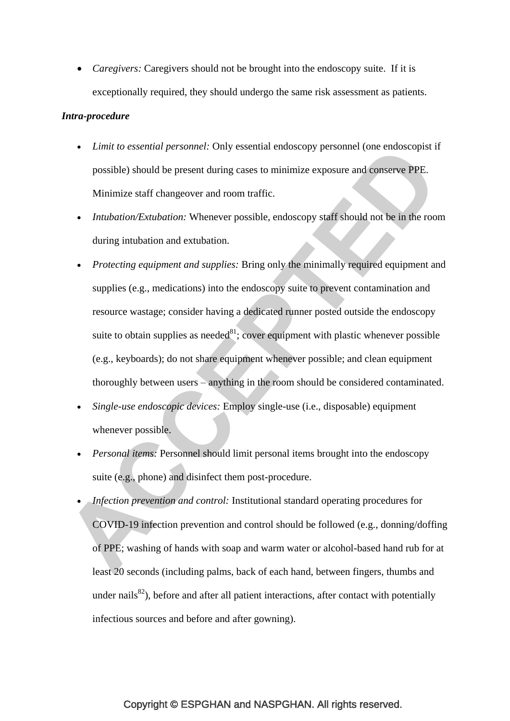• *Caregivers:* Caregivers should not be brought into the endoscopy suite. If it is exceptionally required, they should undergo the same risk assessment as patients.

#### *Intra-procedure*

- *Limit to essential personnel:* Only essential endoscopy personnel (one endoscopist if possible) should be present during cases to minimize exposure and conserve PPE. Minimize staff changeover and room traffic.
- *Intubation/Extubation:* Whenever possible, endoscopy staff should not be in the room during intubation and extubation.
- *Protecting equipment and supplies:* Bring only the minimally required equipment and supplies (e.g., medications) into the endoscopy suite to prevent contamination and resource wastage; consider having a dedicated runner posted outside the endoscopy suite to obtain supplies as needed $81$ ; cover equipment with plastic whenever possible (e.g., keyboards); do not share equipment whenever possible; and clean equipment thoroughly between users – anything in the room should be considered contaminated.
- *Single-use endoscopic devices:* Employ single-use (i.e., disposable) equipment whenever possible.
- *Personal items:* Personnel should limit personal items brought into the endoscopy suite (e.g., phone) and disinfect them post-procedure.
- *Infection prevention and control:* Institutional standard operating procedures for COVID-19 infection prevention and control should be followed (e.g., donning/doffing of PPE; washing of hands with soap and warm water or alcohol-based hand rub for at least 20 seconds (including palms, back of each hand, between fingers, thumbs and under nails $^{82}$ ), before and after all patient interactions, after contact with potentially infectious sources and before and after gowning).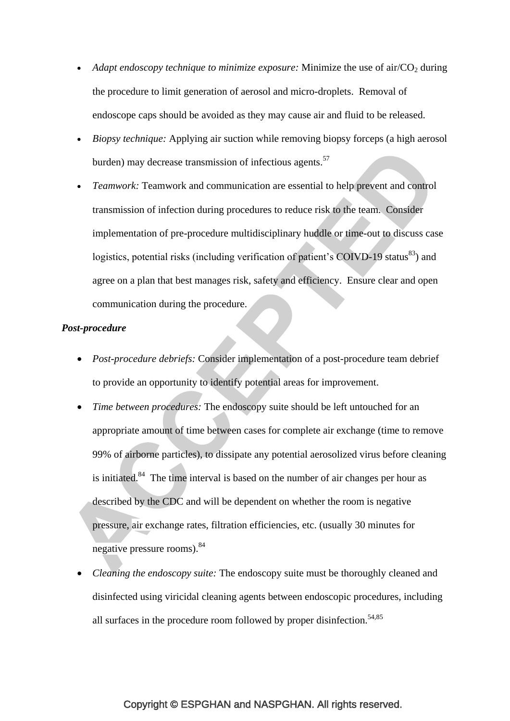- *Adapt endoscopy technique to minimize exposure:* Minimize the use of air/ $CO<sub>2</sub>$  during the procedure to limit generation of aerosol and micro-droplets. Removal of endoscope caps should be avoided as they may cause air and fluid to be released.
- *Biopsy technique:* Applying air suction while removing biopsy forceps (a high aerosol burden) may decrease transmission of infectious agents.<sup>57</sup>
- *Teamwork:* Teamwork and communication are essential to help prevent and control transmission of infection during procedures to reduce risk to the team. Consider implementation of pre-procedure multidisciplinary huddle or time-out to discuss case logistics, potential risks (including verification of patient's COIVD-19 status $^{83}$ ) and agree on a plan that best manages risk, safety and efficiency. Ensure clear and open communication during the procedure.

#### *Post-procedure*

- *Post-procedure debriefs:* Consider implementation of a post-procedure team debrief to provide an opportunity to identify potential areas for improvement.
- *Time between procedures:* The endoscopy suite should be left untouched for an appropriate amount of time between cases for complete air exchange (time to remove 99% of airborne particles), to dissipate any potential aerosolized virus before cleaning is initiated.<sup>84</sup> The time interval is based on the number of air changes per hour as described by the CDC and will be dependent on whether the room is negative pressure, air exchange rates, filtration efficiencies, etc. (usually 30 minutes for negative pressure rooms).<sup>84</sup>
- *Cleaning the endoscopy suite:* The endoscopy suite must be thoroughly cleaned and disinfected using viricidal cleaning agents between endoscopic procedures, including all surfaces in the procedure room followed by proper disinfection.<sup>54,85</sup>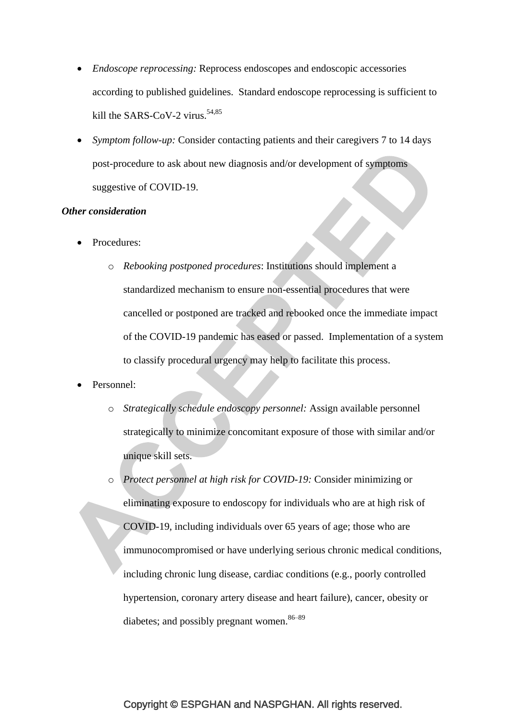- *Endoscope reprocessing:* Reprocess endoscopes and endoscopic accessories according to published guidelines. Standard endoscope reprocessing is sufficient to kill the SARS-CoV-2 virus.<sup>54,85</sup>
- *Symptom follow-up:* Consider contacting patients and their caregivers 7 to 14 days post-procedure to ask about new diagnosis and/or development of symptoms suggestive of COVID-19.

#### *Other consideration*

- Procedures:
	- o *Rebooking postponed procedures*: Institutions should implement a standardized mechanism to ensure non-essential procedures that were cancelled or postponed are tracked and rebooked once the immediate impact of the COVID-19 pandemic has eased or passed. Implementation of a system to classify procedural urgency may help to facilitate this process.
- Personnel:
	- o *Strategically schedule endoscopy personnel:* Assign available personnel strategically to minimize concomitant exposure of those with similar and/or unique skill sets.
	- o *Protect personnel at high risk for COVID-19:* Consider minimizing or eliminating exposure to endoscopy for individuals who are at high risk of COVID-19, including individuals over 65 years of age; those who are immunocompromised or have underlying serious chronic medical conditions, including chronic lung disease, cardiac conditions (e.g., poorly controlled hypertension, coronary artery disease and heart failure), cancer, obesity or diabetes; and possibly pregnant women.  $86-89$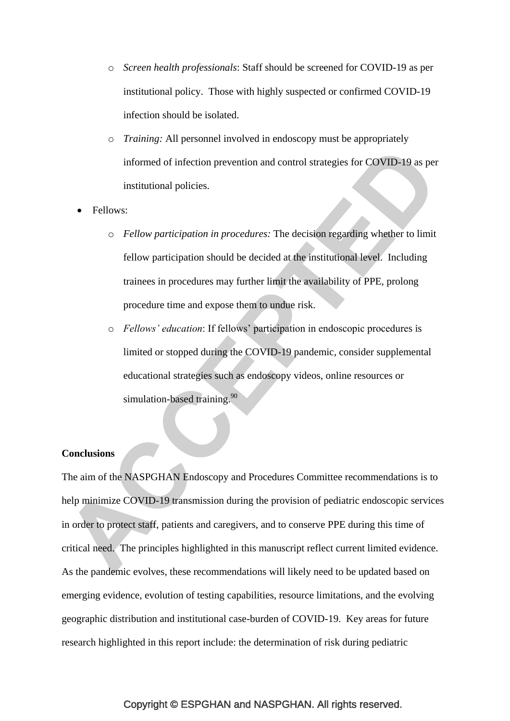- o *Screen health professionals*: Staff should be screened for COVID-19 as per institutional policy. Those with highly suspected or confirmed COVID-19 infection should be isolated.
- o *Training:* All personnel involved in endoscopy must be appropriately informed of infection prevention and control strategies for COVID-19 as per institutional policies.
- Fellows:
	- o *Fellow participation in procedures:* The decision regarding whether to limit fellow participation should be decided at the institutional level. Including trainees in procedures may further limit the availability of PPE, prolong procedure time and expose them to undue risk.
	- o *Fellows' education*: If fellows" participation in endoscopic procedures is limited or stopped during the COVID-19 pandemic, consider supplemental educational strategies such as endoscopy videos, online resources or simulation-based training.<sup>90</sup>

#### **Conclusions**

The aim of the NASPGHAN Endoscopy and Procedures Committee recommendations is to help minimize COVID-19 transmission during the provision of pediatric endoscopic services in order to protect staff, patients and caregivers, and to conserve PPE during this time of critical need. The principles highlighted in this manuscript reflect current limited evidence. As the pandemic evolves, these recommendations will likely need to be updated based on emerging evidence, evolution of testing capabilities, resource limitations, and the evolving geographic distribution and institutional case-burden of COVID-19. Key areas for future research highlighted in this report include: the determination of risk during pediatric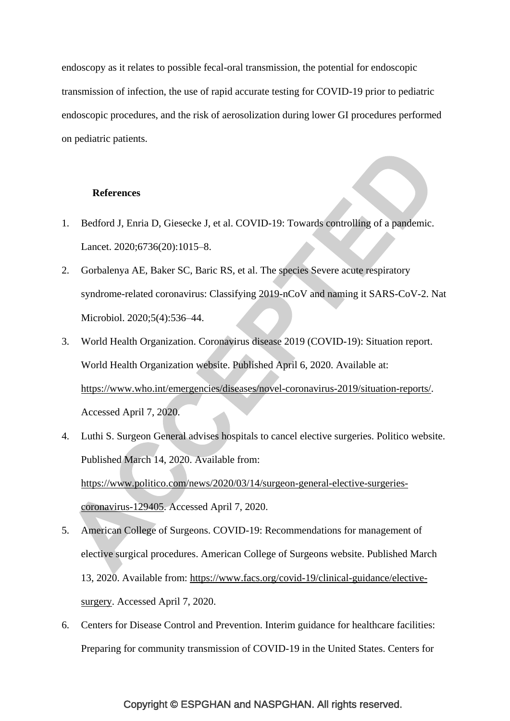endoscopy as it relates to possible fecal-oral transmission, the potential for endoscopic transmission of infection, the use of rapid accurate testing for COVID-19 prior to pediatric endoscopic procedures, and the risk of aerosolization during lower GI procedures performed on pediatric patients.

#### **References**

- 1. Bedford J, Enria D, Giesecke J, et al. COVID-19: Towards controlling of a pandemic. Lancet. 2020;6736(20):1015–8.
- 2. Gorbalenya AE, Baker SC, Baric RS, et al. The species Severe acute respiratory syndrome-related coronavirus: Classifying 2019-nCoV and naming it SARS-CoV-2. Nat Microbiol. 2020;5(4):536–44.
- 3. World Health Organization. Coronavirus disease 2019 (COVID-19): Situation report. World Health Organization website. Published April 6, 2020. Available at: [https://www.who.int/emergencies/diseases/novel-coronavirus-2019/situation-reports/.](https://www.who.int/emergencies/diseases/novel-coronavirus-2019/situation-reports/) Accessed April 7, 2020.
- 4. Luthi S. Surgeon General advises hospitals to cancel elective surgeries. Politico website. Published March 14, 2020. Available from: [https://www.politico.com/news/2020/03/14/surgeon-general-elective-surgeries](https://www.politico.com/news/2020/03/14/surgeon-general-elective-surgeries-coronavirus-129405)[coronavirus-129405.](https://www.politico.com/news/2020/03/14/surgeon-general-elective-surgeries-coronavirus-129405) Accessed April 7, 2020.
- 5. American College of Surgeons. COVID-19: Recommendations for management of elective surgical procedures. American College of Surgeons website. Published March 13, 2020. Available from: [https://www.facs.org/covid-19/clinical-guidance/elective](https://www.facs.org/covid-19/clinical-guidance/elective-surgery)[surgery.](https://www.facs.org/covid-19/clinical-guidance/elective-surgery) Accessed April 7, 2020.
- 6. Centers for Disease Control and Prevention. Interim guidance for healthcare facilities: Preparing for community transmission of COVID-19 in the United States. Centers for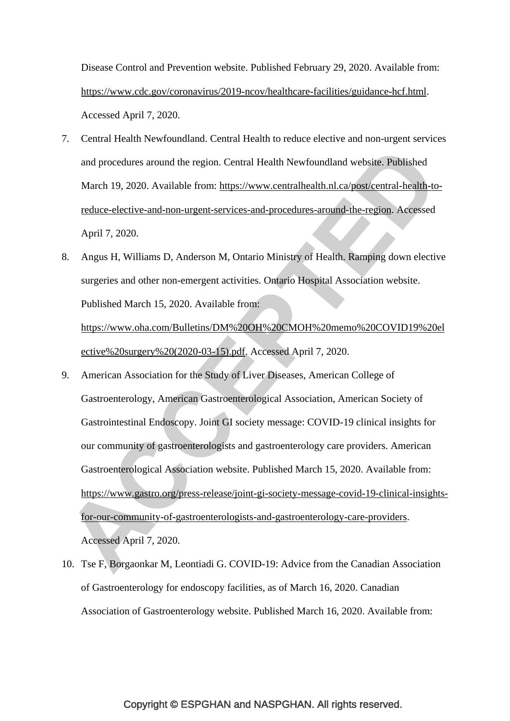Disease Control and Prevention website. Published February 29, 2020. Available from: [https://www.cdc.gov/coronavirus/2019-ncov/healthcare-facilities/guidance-hcf.html.](https://www.cdc.gov/coronavirus/2019-ncov/healthcare-facilities/guidance-hcf.html) Accessed April 7, 2020.

- 7. Central Health Newfoundland. Central Health to reduce elective and non-urgent services and procedures around the region. Central Health Newfoundland website. Published March 19, 2020. Available from: [https://www.centralhealth.nl.ca/post/central-health-to](https://www.centralhealth.nl.ca/post/central-health-to-reduce-elective-and-non-urgent-services-and-procedures-around-the-region)[reduce-elective-and-non-urgent-services-and-procedures-around-the-region.](https://www.centralhealth.nl.ca/post/central-health-to-reduce-elective-and-non-urgent-services-and-procedures-around-the-region) Accessed April 7, 2020.
- 8. Angus H, Williams D, Anderson M, Ontario Ministry of Health. Ramping down elective surgeries and other non-emergent activities. Ontario Hospital Association website. Published March 15, 2020. Available from: [https://www.oha.com/Bulletins/DM%20OH%20CMOH%20memo%20COVID19%20el](https://www.oha.com/Bulletins/DM%20OH%20CMOH%20memo%20COVID19%20elective%20surgery%20(2020-03-15).pdf) [ective%20surgery%20\(2020-03-15\).pdf.](https://www.oha.com/Bulletins/DM%20OH%20CMOH%20memo%20COVID19%20elective%20surgery%20(2020-03-15).pdf) Accessed April 7, 2020.
- 9. American Association for the Study of Liver Diseases, American College of Gastroenterology, American Gastroenterological Association, American Society of Gastrointestinal Endoscopy. Joint GI society message: COVID-19 clinical insights for our community of gastroenterologists and gastroenterology care providers. American Gastroenterological Association website. Published March 15, 2020. Available from: [https://www.gastro.org/press-release/joint-gi-society-message-covid-19-clinical-insights](https://www.gastro.org/press-release/joint-gi-society-message-covid-19-clinical-insights-for-our-community-of-gastroenterologists-and-gastroenterology-care-providers)[for-our-community-of-gastroenterologists-and-gastroenterology-care-providers.](https://www.gastro.org/press-release/joint-gi-society-message-covid-19-clinical-insights-for-our-community-of-gastroenterologists-and-gastroenterology-care-providers) Accessed April 7, 2020.
- 10. Tse F, Borgaonkar M, Leontiadi G. COVID-19: Advice from the Canadian Association of Gastroenterology for endoscopy facilities, as of March 16, 2020. Canadian Association of Gastroenterology website. Published March 16, 2020. Available from: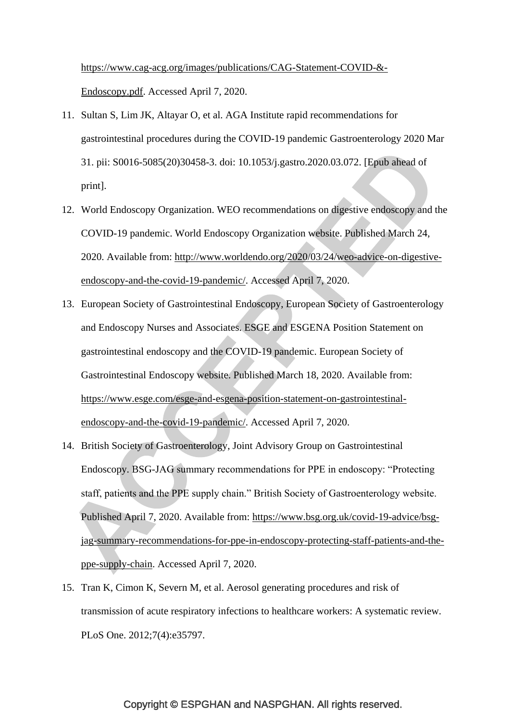[https://www.cag-acg.org/images/publications/CAG-Statement-COVID-&-](https://www.cag-acg.org/images/publications/CAG-Statement-COVID-&-Endoscopy.pdf) [Endoscopy.pdf.](https://www.cag-acg.org/images/publications/CAG-Statement-COVID-&-Endoscopy.pdf) Accessed April 7, 2020.

- 11. Sultan S, Lim JK, Altayar O, et al. AGA Institute rapid recommendations for gastrointestinal procedures during the COVID-19 pandemic Gastroenterology 2020 Mar 31. pii: S0016-5085(20)30458-3. doi: 10.1053/j.gastro.2020.03.072. [Epub ahead of print].
- 12. World Endoscopy Organization. WEO recommendations on digestive endoscopy and the COVID-19 pandemic. World Endoscopy Organization website. Published March 24, 2020. Available from: [http://www.worldendo.org/2020/03/24/weo-advice-on-digestive](http://www.worldendo.org/2020/03/24/weo-advice-on-digestive-endoscopy-and-the-covid-19-pandemic/)[endoscopy-and-the-covid-19-pandemic/.](http://www.worldendo.org/2020/03/24/weo-advice-on-digestive-endoscopy-and-the-covid-19-pandemic/) Accessed April 7, 2020.
- 13. European Society of Gastrointestinal Endoscopy, European Society of Gastroenterology and Endoscopy Nurses and Associates. ESGE and ESGENA Position Statement on gastrointestinal endoscopy and the COVID-19 pandemic. European Society of Gastrointestinal Endoscopy website. Published March 18, 2020. Available from: [https://www.esge.com/esge-and-esgena-position-statement-on-gastrointestinal](https://www.esge.com/esge-and-esgena-position-statement-on-gastrointestinal-endoscopy-and-the-covid-19-pandemic/)[endoscopy-and-the-covid-19-pandemic/.](https://www.esge.com/esge-and-esgena-position-statement-on-gastrointestinal-endoscopy-and-the-covid-19-pandemic/) Accessed April 7, 2020.
- 14. British Society of Gastroenterology, Joint Advisory Group on Gastrointestinal Endoscopy. BSG-JAG summary recommendations for PPE in endoscopy: "Protecting staff, patients and the PPE supply chain." British Society of Gastroenterology website. Published April 7, 2020. Available from: [https://www.bsg.org.uk/covid-19-advice/bsg](https://www.bsg.org.uk/covid-19-advice/bsg-jag-summary-recommendations-for-ppe-in-endoscopy-protecting-staff-patients-and-the-ppe-supply-chain)[jag-summary-recommendations-for-ppe-in-endoscopy-protecting-staff-patients-and-the](https://www.bsg.org.uk/covid-19-advice/bsg-jag-summary-recommendations-for-ppe-in-endoscopy-protecting-staff-patients-and-the-ppe-supply-chain)[ppe-supply-chain.](https://www.bsg.org.uk/covid-19-advice/bsg-jag-summary-recommendations-for-ppe-in-endoscopy-protecting-staff-patients-and-the-ppe-supply-chain) Accessed April 7, 2020.
- 15. Tran K, Cimon K, Severn M, et al. Aerosol generating procedures and risk of transmission of acute respiratory infections to healthcare workers: A systematic review. PLoS One. 2012;7(4):e35797.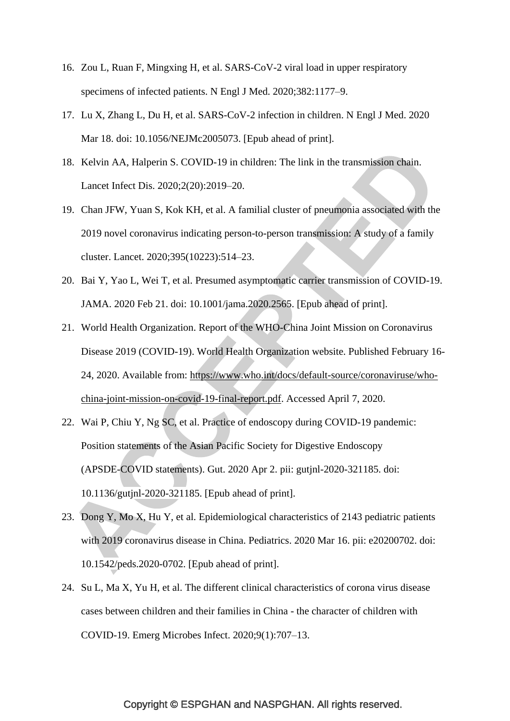- 16. Zou L, Ruan F, Mingxing H, et al. SARS-CoV-2 viral load in upper respiratory specimens of infected patients. N Engl J Med. 2020;382:1177–9.
- 17. Lu X, Zhang L, Du H, et al. SARS-CoV-2 infection in children. N Engl J Med. 2020 Mar 18. doi: 10.1056/NEJMc2005073. [Epub ahead of print].
- 18. Kelvin AA, Halperin S. COVID-19 in children: The link in the transmission chain. Lancet Infect Dis. 2020;2(20):2019–20.
- 19. Chan JFW, Yuan S, Kok KH, et al. A familial cluster of pneumonia associated with the 2019 novel coronavirus indicating person-to-person transmission: A study of a family cluster. Lancet. 2020;395(10223):514–23.
- 20. Bai Y, Yao L, Wei T, et al. Presumed asymptomatic carrier transmission of COVID-19. JAMA. 2020 Feb 21. doi: 10.1001/jama.2020.2565. [Epub ahead of print].
- 21. World Health Organization. Report of the WHO-China Joint Mission on Coronavirus Disease 2019 (COVID-19). World Health Organization website. Published February 16- 24, 2020. Available from: [https://www.who.int/docs/default-source/coronaviruse/who](https://www.who.int/docs/default-source/coronaviruse/who-china-joint-mission-on-covid-19-final-report.pdf)[china-joint-mission-on-covid-19-final-report.pdf.](https://www.who.int/docs/default-source/coronaviruse/who-china-joint-mission-on-covid-19-final-report.pdf) Accessed April 7, 2020.
- 22. Wai P, Chiu Y, Ng SC, et al. Practice of endoscopy during COVID-19 pandemic: Position statements of the Asian Pacific Society for Digestive Endoscopy (APSDE-COVID statements). Gut. 2020 Apr 2. pii: gutjnl-2020-321185. doi: 10.1136/gutjnl-2020-321185. [Epub ahead of print].
- 23. Dong Y, Mo X, Hu Y, et al. Epidemiological characteristics of 2143 pediatric patients with 2019 coronavirus disease in China. Pediatrics. 2020 Mar 16. pii: e20200702. doi: 10.1542/peds.2020-0702. [Epub ahead of print].
- 24. Su L, Ma X, Yu H, et al. The different clinical characteristics of corona virus disease cases between children and their families in China - the character of children with COVID-19. Emerg Microbes Infect. 2020;9(1):707–13.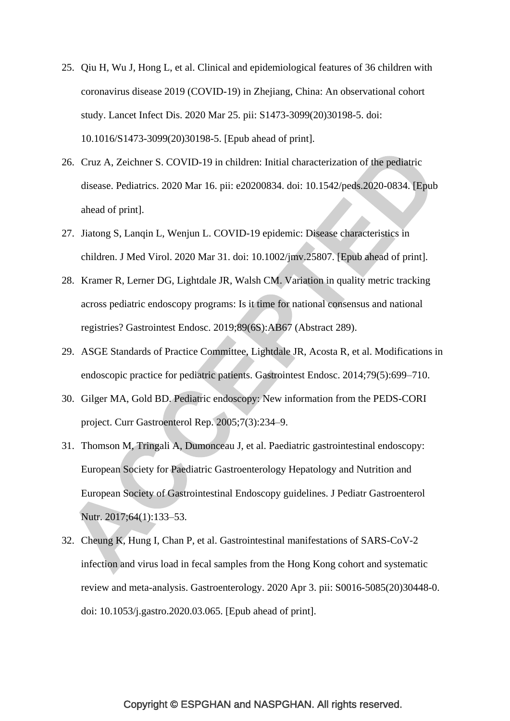- 25. Qiu H, Wu J, Hong L, et al. Clinical and epidemiological features of 36 children with coronavirus disease 2019 (COVID-19) in Zhejiang, China: An observational cohort study. Lancet Infect Dis. 2020 Mar 25. pii: S1473-3099(20)30198-5. doi: 10.1016/S1473-3099(20)30198-5. [Epub ahead of print].
- 26. Cruz A, Zeichner S. COVID-19 in children: Initial characterization of the pediatric disease. Pediatrics. 2020 Mar 16. pii: e20200834. doi: 10.1542/peds.2020-0834. [Epub ahead of print].
- 27. Jiatong S, Lanqin L, Wenjun L. COVID-19 epidemic: Disease characteristics in children. J Med Virol. 2020 Mar 31. doi: 10.1002/jmv.25807. [Epub ahead of print].
- 28. Kramer R, Lerner DG, Lightdale JR, Walsh CM. Variation in quality metric tracking across pediatric endoscopy programs: Is it time for national consensus and national registries? Gastrointest Endosc. 2019;89(6S):AB67 (Abstract 289).
- 29. ASGE Standards of Practice Committee, Lightdale JR, Acosta R, et al. Modifications in endoscopic practice for pediatric patients. Gastrointest Endosc. 2014;79(5):699–710.
- 30. Gilger MA, Gold BD. Pediatric endoscopy: New information from the PEDS-CORI project. Curr Gastroenterol Rep. 2005;7(3):234–9.
- 31. Thomson M, Tringali A, Dumonceau J, et al. Paediatric gastrointestinal endoscopy: European Society for Paediatric Gastroenterology Hepatology and Nutrition and European Society of Gastrointestinal Endoscopy guidelines. J Pediatr Gastroenterol Nutr. 2017;64(1):133–53.
- 32. Cheung K, Hung I, Chan P, et al. Gastrointestinal manifestations of SARS-CoV-2 infection and virus load in fecal samples from the Hong Kong cohort and systematic review and meta-analysis. Gastroenterology. 2020 Apr 3. pii: S0016-5085(20)30448-0. doi: 10.1053/j.gastro.2020.03.065. [Epub ahead of print].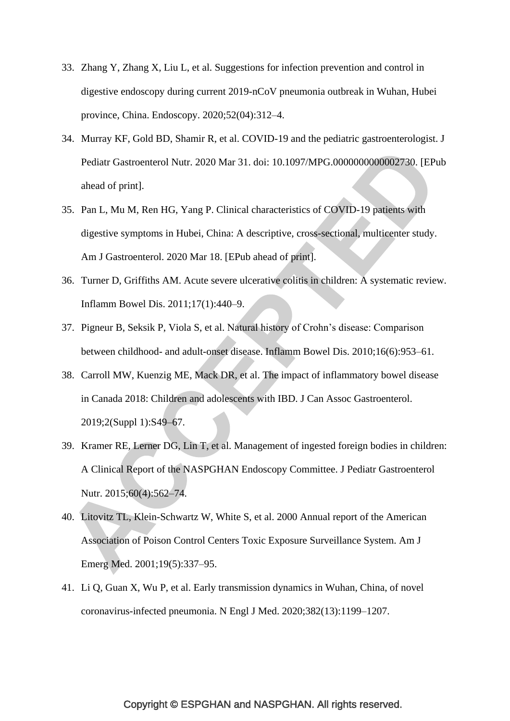- 33. Zhang Y, Zhang X, Liu L, et al. Suggestions for infection prevention and control in digestive endoscopy during current 2019-nCoV pneumonia outbreak in Wuhan, Hubei province, China. Endoscopy. 2020;52(04):312–4.
- 34. Murray KF, Gold BD, Shamir R, et al. COVID-19 and the pediatric gastroenterologist. J Pediatr Gastroenterol Nutr. 2020 Mar 31. doi: 10.1097/MPG.0000000000002730. [EPub ahead of print].
- 35. Pan L, Mu M, Ren HG, Yang P. Clinical characteristics of COVID-19 patients with digestive symptoms in Hubei, China: A descriptive, cross-sectional, multicenter study. Am J Gastroenterol. 2020 Mar 18. [EPub ahead of print].
- 36. Turner D, Griffiths AM. Acute severe ulcerative colitis in children: A systematic review. Inflamm Bowel Dis. 2011;17(1):440–9.
- 37. Pigneur B, Seksik P, Viola S, et al. Natural history of Crohn"s disease: Comparison between childhood- and adult-onset disease. Inflamm Bowel Dis. 2010;16(6):953–61.
- 38. Carroll MW, Kuenzig ME, Mack DR, et al. The impact of inflammatory bowel disease in Canada 2018: Children and adolescents with IBD. J Can Assoc Gastroenterol. 2019;2(Suppl 1):S49–67.
- 39. Kramer RE, Lerner DG, Lin T, et al. Management of ingested foreign bodies in children: A Clinical Report of the NASPGHAN Endoscopy Committee. J Pediatr Gastroenterol Nutr. 2015;60(4):562–74.
- 40. Litovitz TL, Klein-Schwartz W, White S, et al. 2000 Annual report of the American Association of Poison Control Centers Toxic Exposure Surveillance System. Am J Emerg Med. 2001;19(5):337–95.
- 41. Li Q, Guan X, Wu P, et al. Early transmission dynamics in Wuhan, China, of novel coronavirus-infected pneumonia. N Engl J Med. 2020;382(13):1199–1207.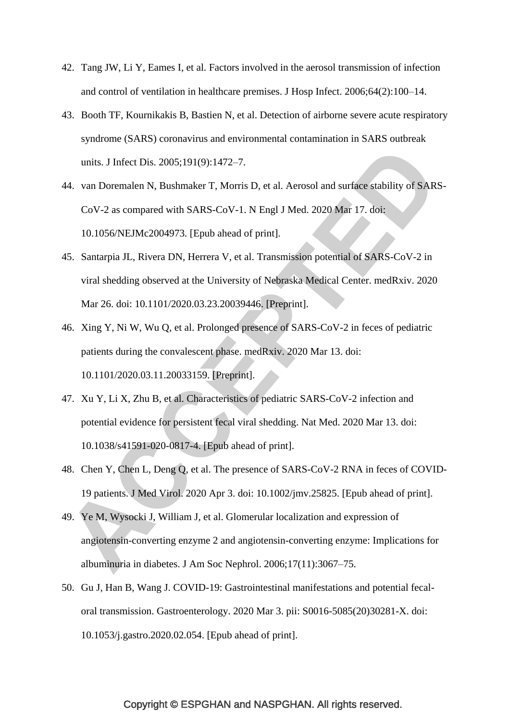- 42. Tang JW, Li Y, Eames I, et al. Factors involved in the aerosol transmission of infection and control of ventilation in healthcare premises. J Hosp Infect. 2006;64(2):100–14.
- 43. Booth TF, Kournikakis B, Bastien N, et al. Detection of airborne severe acute respiratory syndrome (SARS) coronavirus and environmental contamination in SARS outbreak units. J Infect Dis. 2005;191(9):1472–7.
- 44. van Doremalen N, Bushmaker T, Morris D, et al. Aerosol and surface stability of SARS-CoV-2 as compared with SARS-CoV-1. N Engl J Med. 2020 Mar 17. doi: 10.1056/NEJMc2004973. [Epub ahead of print].
- 45. Santarpia JL, Rivera DN, Herrera V, et al. Transmission potential of SARS-CoV-2 in viral shedding observed at the University of Nebraska Medical Center. medRxiv. 2020 Mar 26. doi: 10.1101/2020.03.23.20039446. [Preprint].
- 46. Xing Y, Ni W, Wu Q, et al. Prolonged presence of SARS-CoV-2 in feces of pediatric patients during the convalescent phase. medRxiv. 2020 Mar 13. doi: 10.1101/2020.03.11.20033159. [Preprint].
- 47. Xu Y, Li X, Zhu B, et al. Characteristics of pediatric SARS-CoV-2 infection and potential evidence for persistent fecal viral shedding. Nat Med. 2020 Mar 13. doi: 10.1038/s41591-020-0817-4. [Epub ahead of print].
- 48. Chen Y, Chen L, Deng Q, et al. The presence of SARS-CoV-2 RNA in feces of COVID-19 patients. J Med Virol. 2020 Apr 3. doi: 10.1002/jmv.25825. [Epub ahead of print].
- 49. Ye M, Wysocki J, William J, et al. Glomerular localization and expression of angiotensin-converting enzyme 2 and angiotensin-converting enzyme: Implications for albuminuria in diabetes. J Am Soc Nephrol. 2006;17(11):3067–75.
- 50. Gu J, Han B, Wang J. COVID-19: Gastrointestinal manifestations and potential fecaloral transmission. Gastroenterology. 2020 Mar 3. pii: S0016-5085(20)30281-X. doi: 10.1053/j.gastro.2020.02.054. [Epub ahead of print].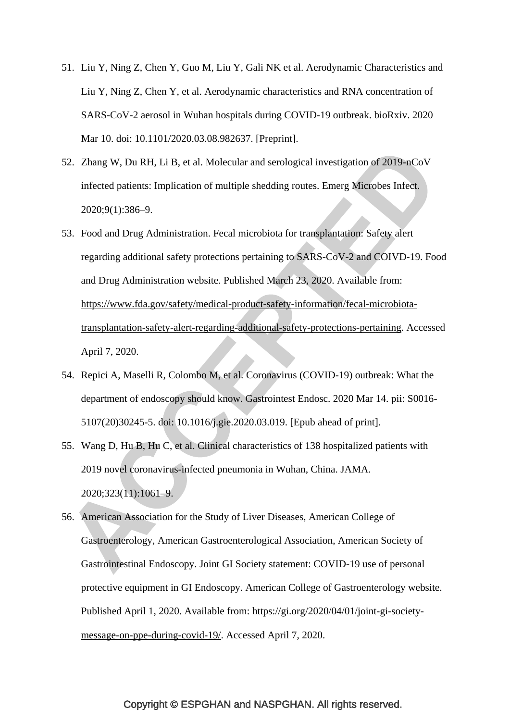- 51. Liu Y, Ning Z, Chen Y, Guo M, Liu Y, Gali NK et al. Aerodynamic Characteristics and Liu Y, Ning Z, Chen Y, et al. Aerodynamic characteristics and RNA concentration of SARS-CoV-2 aerosol in Wuhan hospitals during COVID-19 outbreak. bioRxiv. 2020 Mar 10. doi: 10.1101/2020.03.08.982637. [Preprint].
- 52. Zhang W, Du RH, Li B, et al. Molecular and serological investigation of 2019-nCoV infected patients: Implication of multiple shedding routes. Emerg Microbes Infect. 2020;9(1):386–9.
- 53. Food and Drug Administration. Fecal microbiota for transplantation: Safety alert regarding additional safety protections pertaining to SARS-CoV-2 and COIVD-19. Food and Drug Administration website. Published March 23, 2020. Available from: [https://www.fda.gov/safety/medical-product-safety-information/fecal-microbiota](https://www.fda.gov/safety/medical-product-safety-information/fecal-microbiota-transplantation-safety-alert-regarding-additional-safety-protections-pertaining)[transplantation-safety-alert-regarding-additional-safety-protections-pertaining.](https://www.fda.gov/safety/medical-product-safety-information/fecal-microbiota-transplantation-safety-alert-regarding-additional-safety-protections-pertaining) Accessed April 7, 2020.
- 54. Repici A, Maselli R, Colombo M, et al. Coronavirus (COVID-19) outbreak: What the department of endoscopy should know. Gastrointest Endosc. 2020 Mar 14. pii: S0016- 5107(20)30245-5. doi: 10.1016/j.gie.2020.03.019. [Epub ahead of print].
- 55. Wang D, Hu B, Hu C, et al. Clinical characteristics of 138 hospitalized patients with 2019 novel coronavirus-infected pneumonia in Wuhan, China. JAMA. 2020;323(11):1061–9.
- 56. American Association for the Study of Liver Diseases, American College of Gastroenterology, American Gastroenterological Association, American Society of Gastrointestinal Endoscopy. Joint GI Society statement: COVID-19 use of personal protective equipment in GI Endoscopy. American College of Gastroenterology website. Published April 1, 2020. Available from: [https://gi.org/2020/04/01/joint-gi-society](https://gi.org/2020/04/01/joint-gi-society-message-on-ppe-during-covid-19/)[message-on-ppe-during-covid-19/.](https://gi.org/2020/04/01/joint-gi-society-message-on-ppe-during-covid-19/) Accessed April 7, 2020.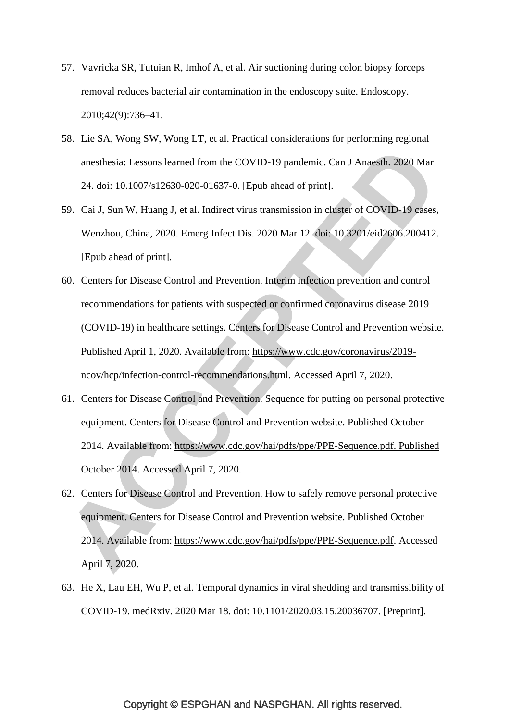- 57. Vavricka SR, Tutuian R, Imhof A, et al. Air suctioning during colon biopsy forceps removal reduces bacterial air contamination in the endoscopy suite. Endoscopy. 2010;42(9):736–41.
- 58. Lie SA, Wong SW, Wong LT, et al. Practical considerations for performing regional anesthesia: Lessons learned from the COVID-19 pandemic. Can J Anaesth. 2020 Mar 24. doi: 10.1007/s12630-020-01637-0. [Epub ahead of print].
- 59. Cai J, Sun W, Huang J, et al. Indirect virus transmission in cluster of COVID-19 cases, Wenzhou, China, 2020. Emerg Infect Dis. 2020 Mar 12. doi: 10.3201/eid2606.200412. [Epub ahead of print].
- 60. Centers for Disease Control and Prevention. Interim infection prevention and control recommendations for patients with suspected or confirmed coronavirus disease 2019 (COVID-19) in healthcare settings. Centers for Disease Control and Prevention website. Published April 1, 2020. Available from: [https://www.cdc.gov/coronavirus/2019](https://www.cdc.gov/coronavirus/2019-ncov/hcp/infection-control-recommendations.html) [ncov/hcp/infection-control-recommendations.html.](https://www.cdc.gov/coronavirus/2019-ncov/hcp/infection-control-recommendations.html) Accessed April 7, 2020.
- 61. Centers for Disease Control and Prevention. Sequence for putting on personal protective equipment. Centers for Disease Control and Prevention website. Published October 2014. Available from: [https://www.cdc.gov/hai/pdfs/ppe/PPE-Sequence.pdf. Published](https://www.cdc.gov/hai/pdfs/ppe/PPE-Sequence.pdf.%20Published%20October%202014)  [October 2014.](https://www.cdc.gov/hai/pdfs/ppe/PPE-Sequence.pdf.%20Published%20October%202014) Accessed April 7, 2020.
- 62. Centers for Disease Control and Prevention. How to safely remove personal protective equipment. Centers for Disease Control and Prevention website. Published October 2014. Available from: [https://www.cdc.gov/hai/pdfs/ppe/PPE-Sequence.pdf.](https://www.cdc.gov/hai/pdfs/ppe/PPE-Sequence.pdf) Accessed April 7, 2020.
- 63. He X, Lau EH, Wu P, et al. Temporal dynamics in viral shedding and transmissibility of COVID-19. medRxiv. 2020 Mar 18. doi: 10.1101/2020.03.15.20036707. [Preprint].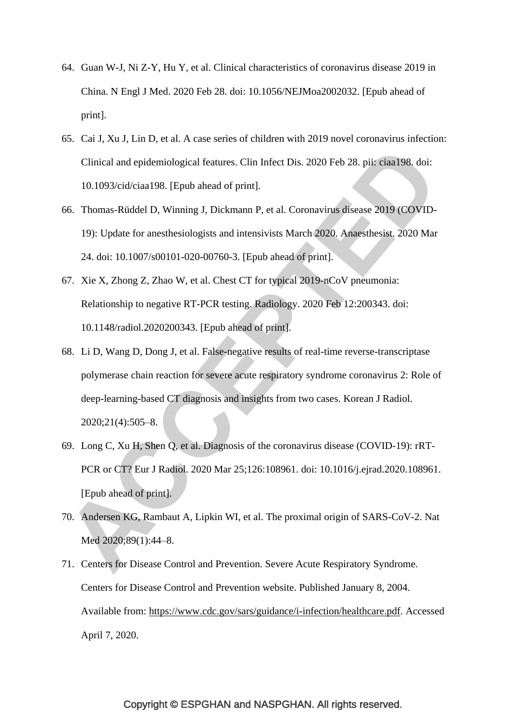- 64. Guan W-J, Ni Z-Y, Hu Y, et al. Clinical characteristics of coronavirus disease 2019 in China. N Engl J Med. 2020 Feb 28. doi: 10.1056/NEJMoa2002032. [Epub ahead of print].
- 65. Cai J, Xu J, Lin D, et al. A case series of children with 2019 novel coronavirus infection: Clinical and epidemiological features. Clin Infect Dis. 2020 Feb 28. pii: ciaa198. doi: 10.1093/cid/ciaa198. [Epub ahead of print].
- 66. Thomas-Rüddel D, Winning J, Dickmann P, et al. Coronavirus disease 2019 (COVID-19): Update for anesthesiologists and intensivists March 2020. Anaesthesist. 2020 Mar 24. doi: 10.1007/s00101-020-00760-3. [Epub ahead of print].
- 67. Xie X, Zhong Z, Zhao W, et al. Chest CT for typical 2019-nCoV pneumonia: Relationship to negative RT-PCR testing. Radiology. 2020 Feb 12:200343. doi: 10.1148/radiol.2020200343. [Epub ahead of print].
- 68. Li D, Wang D, Dong J, et al. False-negative results of real-time reverse-transcriptase polymerase chain reaction for severe acute respiratory syndrome coronavirus 2: Role of deep-learning-based CT diagnosis and insights from two cases. Korean J Radiol. 2020;21(4):505–8.
- 69. Long C, Xu H, Shen Q, et al. Diagnosis of the coronavirus disease (COVID-19): rRT-PCR or CT? Eur J Radiol. 2020 Mar 25;126:108961. doi: 10.1016/j.ejrad.2020.108961. [Epub ahead of print].
- 70. Andersen KG, Rambaut A, Lipkin WI, et al. The proximal origin of SARS-CoV-2. Nat Med 2020;89(1):44–8.
- 71. Centers for Disease Control and Prevention. Severe Acute Respiratory Syndrome. Centers for Disease Control and Prevention website. Published January 8, 2004. Available from: [https://www.cdc.gov/sars/guidance/i-infection/healthcare.pdf.](https://www.cdc.gov/sars/guidance/i-infection/healthcare.pdf) Accessed April 7, 2020.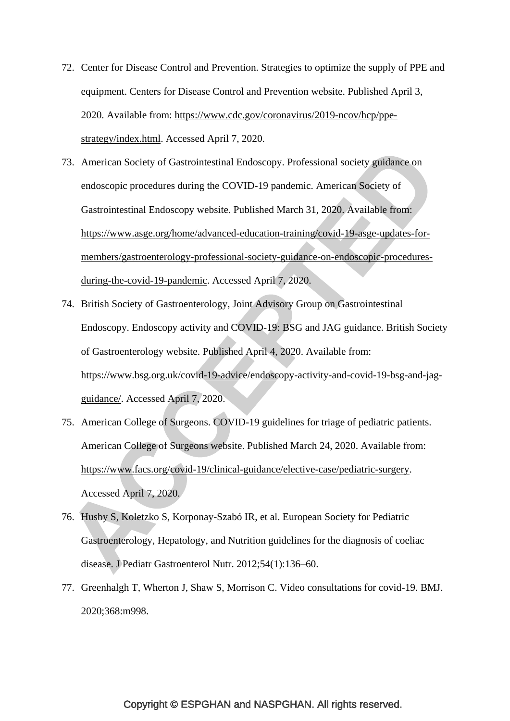- 72. Center for Disease Control and Prevention. Strategies to optimize the supply of PPE and equipment. Centers for Disease Control and Prevention website. Published April 3, 2020. Available from: [https://www.cdc.gov/coronavirus/2019-ncov/hcp/ppe](https://www.cdc.gov/coronavirus/2019-ncov/hcp/ppe-strategy/index.html)[strategy/index.html.](https://www.cdc.gov/coronavirus/2019-ncov/hcp/ppe-strategy/index.html) Accessed April 7, 2020.
- 73. American Society of Gastrointestinal Endoscopy. Professional society guidance on endoscopic procedures during the COVID-19 pandemic. American Society of Gastrointestinal Endoscopy website. Published March 31, 2020. Available from: [https://www.asge.org/home/advanced-education-training/covid-19-asge-updates-for](https://www.asge.org/home/advanced-education-training/covid-19-asge-updates-for-members/gastroenterology-professional-society-guidance-on-endoscopic-procedures-during-the-covid-19-pandemic)[members/gastroenterology-professional-society-guidance-on-endoscopic-procedures](https://www.asge.org/home/advanced-education-training/covid-19-asge-updates-for-members/gastroenterology-professional-society-guidance-on-endoscopic-procedures-during-the-covid-19-pandemic)[during-the-covid-19-pandemic.](https://www.asge.org/home/advanced-education-training/covid-19-asge-updates-for-members/gastroenterology-professional-society-guidance-on-endoscopic-procedures-during-the-covid-19-pandemic) Accessed April 7, 2020.
- 74. British Society of Gastroenterology, Joint Advisory Group on Gastrointestinal Endoscopy. Endoscopy activity and COVID-19: BSG and JAG guidance. British Society of Gastroenterology website. Published April 4, 2020. Available from: [https://www.bsg.org.uk/covid-19-advice/endoscopy-activity-and-covid-19-bsg-and-jag](https://www.bsg.org.uk/covid-19-advice/endoscopy-activity-and-covid-19-bsg-and-jag-guidance/)[guidance/.](https://www.bsg.org.uk/covid-19-advice/endoscopy-activity-and-covid-19-bsg-and-jag-guidance/) Accessed April 7, 2020.
- 75. American College of Surgeons. COVID-19 guidelines for triage of pediatric patients. American College of Surgeons website. Published March 24, 2020. Available from: [https://www.facs.org/covid-19/clinical-guidance/elective-case/pediatric-surgery.](https://www.facs.org/covid-19/clinical-guidance/elective-case/pediatric-surgery) Accessed April 7, 2020.
- 76. Husby S, Koletzko S, Korponay-Szabó IR, et al. European Society for Pediatric Gastroenterology, Hepatology, and Nutrition guidelines for the diagnosis of coeliac disease. J Pediatr Gastroenterol Nutr. 2012;54(1):136–60.
- 77. Greenhalgh T, Wherton J, Shaw S, Morrison C. Video consultations for covid-19. BMJ. 2020;368:m998.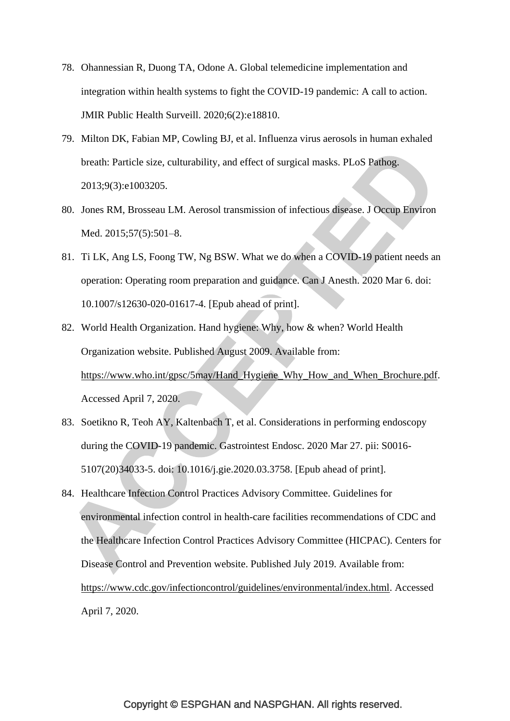- 78. Ohannessian R, Duong TA, Odone A. Global telemedicine implementation and integration within health systems to fight the COVID-19 pandemic: A call to action. JMIR Public Health Surveill. 2020;6(2):e18810.
- 79. Milton DK, Fabian MP, Cowling BJ, et al. Influenza virus aerosols in human exhaled breath: Particle size, culturability, and effect of surgical masks. PLoS Pathog. 2013;9(3):e1003205.
- 80. Jones RM, Brosseau LM. Aerosol transmission of infectious disease. J Occup Environ Med. 2015;57(5):501–8.
- 81. Ti LK, Ang LS, Foong TW, Ng BSW. What we do when a COVID-19 patient needs an operation: Operating room preparation and guidance. Can J Anesth. 2020 Mar 6. doi: 10.1007/s12630-020-01617-4. [Epub ahead of print].
- 82. World Health Organization. Hand hygiene: Why, how & when? World Health Organization website. Published August 2009. Available from: [https://www.who.int/gpsc/5may/Hand\\_Hygiene\\_Why\\_How\\_and\\_When\\_Brochure.pdf.](https://www.who.int/gpsc/5may/Hand_Hygiene_Why_How_and_When_Brochure.pdf) Accessed April 7, 2020.
- 83. Soetikno R, Teoh AY, Kaltenbach T, et al. Considerations in performing endoscopy during the COVID-19 pandemic. Gastrointest Endosc. 2020 Mar 27. pii: S0016- 5107(20)34033-5. doi: 10.1016/j.gie.2020.03.3758. [Epub ahead of print].
- 84. Healthcare Infection Control Practices Advisory Committee. Guidelines for environmental infection control in health-care facilities recommendations of CDC and the Healthcare Infection Control Practices Advisory Committee (HICPAC). Centers for Disease Control and Prevention website. Published July 2019. Available from: [https://www.cdc.gov/infectioncontrol/guidelines/environmental/index.html.](https://www.cdc.gov/infectioncontrol/guidelines/environmental/index.html) Accessed April 7, 2020.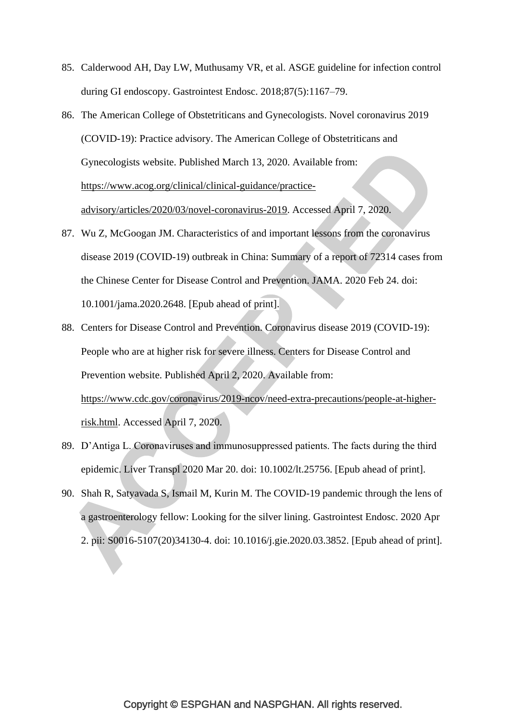- 85. Calderwood AH, Day LW, Muthusamy VR, et al. ASGE guideline for infection control during GI endoscopy. Gastrointest Endosc. 2018;87(5):1167–79.
- 86. The American College of Obstetriticans and Gynecologists. Novel coronavirus 2019 (COVID-19): Practice advisory. The American College of Obstetriticans and Gynecologists website. Published March 13, 2020. Available from: [https://www.acog.org/clinical/clinical-guidance/practice](https://www.acog.org/clinical/clinical-guidance/practice-advisory/articles/2020/03/novel-coronavirus-2019)[advisory/articles/2020/03/novel-coronavirus-2019.](https://www.acog.org/clinical/clinical-guidance/practice-advisory/articles/2020/03/novel-coronavirus-2019) Accessed April 7, 2020.
- 87. Wu Z, McGoogan JM. Characteristics of and important lessons from the coronavirus disease 2019 (COVID-19) outbreak in China: Summary of a report of 72314 cases from the Chinese Center for Disease Control and Prevention. JAMA. 2020 Feb 24. doi: 10.1001/jama.2020.2648. [Epub ahead of print].
- 88. Centers for Disease Control and Prevention. Coronavirus disease 2019 (COVID-19): People who are at higher risk for severe illness. Centers for Disease Control and Prevention website. Published April 2, 2020. Available from: [https://www.cdc.gov/coronavirus/2019-ncov/need-extra-precautions/people-at-higher](https://www.cdc.gov/coronavirus/2019-ncov/need-extra-precautions/people-at-higher-risk.html)[risk.html.](https://www.cdc.gov/coronavirus/2019-ncov/need-extra-precautions/people-at-higher-risk.html) Accessed April 7, 2020.
- 89. D"Antiga L. Coronaviruses and immunosuppressed patients. The facts during the third epidemic. Liver Transpl 2020 Mar 20. doi: 10.1002/lt.25756. [Epub ahead of print].
- 90. Shah R, Satyavada S, Ismail M, Kurin M. The COVID-19 pandemic through the lens of a gastroenterology fellow: Looking for the silver lining. Gastrointest Endosc. 2020 Apr 2. pii: S0016-5107(20)34130-4. doi: 10.1016/j.gie.2020.03.3852. [Epub ahead of print].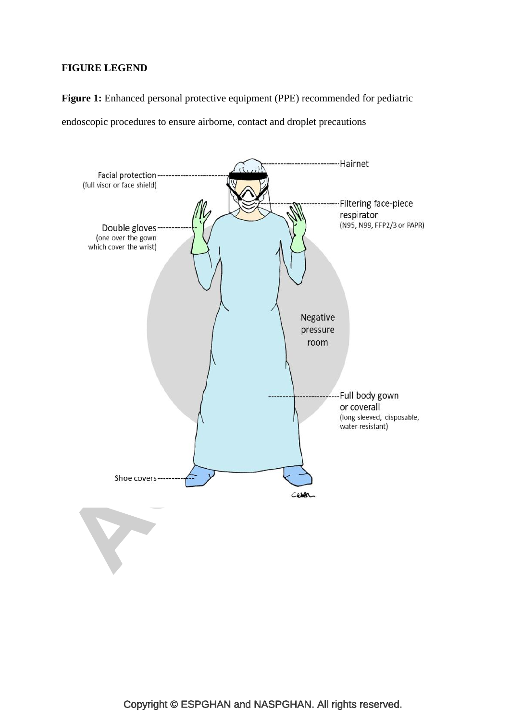# **FIGURE LEGEND**

**Figure 1:** Enhanced personal protective equipment (PPE) recommended for pediatric

endoscopic procedures to ensure airborne, contact and droplet precautions

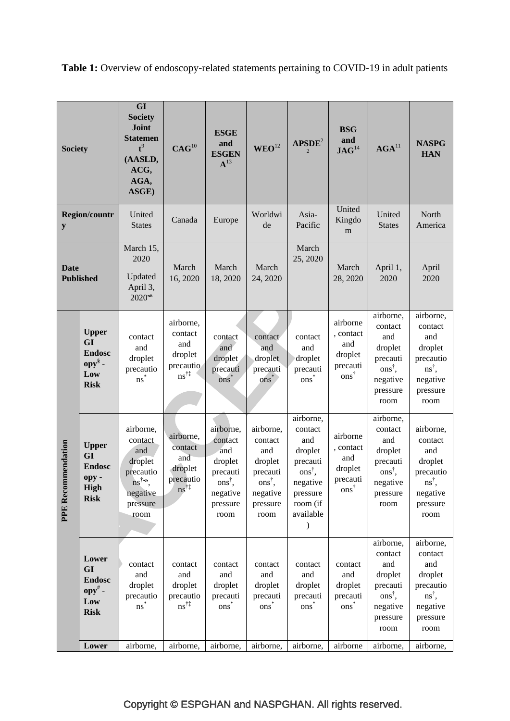**GI Society Joint BSG ESGE Statemen and WEO**<sup>12</sup> **APSDE**<sup>2</sup> **and**   $\begin{array}{c|c|c}\n\text{and} \\
\text{JAG}^{14} & \text{AGA}^{11} & \text{NASPG} \\
\hline\n\end{array}$ **CAG**<sup>10</sup> **t** 9 **Society ESGEN** 2 **HAN (AASLD,**   ${\bf A}^{13}$ **ACG, AGA, ASGE)** United United Asia-**United North Region/countr** United Canada Europe Worldwi<br>States Canada Europe de Kingdo de Pacific **States** America **y** m March 15. March 2020 25, 2020 March March March March April 1, April **Date**  Updated 16, 2020 **Published** 18, 2020 24, 2020 28, 2020 2020 2020 April 3,  $2020^*$ airborne, airborne, airborne, airborne contact contact **Upper**  contact , contact contact and contact contact contact and **GI**  and and droplet and and and and droplet **Endosc** droplet droplet droplet droplet droplet droplet precauti precautio **opy§**  precauti precautio precautio precauti precauti precauti ons† , ns† , **Low**  ns†‡ ons† ns\* ons\* ons\* ons\* negative negative **Risk** pressure pressure room room airborne, airborne, airborne, airborne, airborne, contact contact airborne, airborne, airborne contact contact contact and and contact PE Recommendation **PPE Recommendation Upper**  contact , contact and and and and droplet droplet **GI**  and and droplet droplet droplet precauti precauti droplet **Endosc** droplet droplet ons† , ons† , precautio precauti precauti precautio **opy**  precautio precauti ns<sup>†</sup> ons† , ons† , negative ns† , negative **High**  ns†‡ ons† negative negative negative pressure pressure negative **Risk** room (if pressure pressure pressure room pressure available room room room room  $\lambda$ airborne, airborne, contact contact **Lower**  contact contact contact contact contact contact and and **GI**  and and and and and and droplet droplet **Endosc** droplet droplet droplet droplet droplet precauti precautio droplet **opy#**  precautio precautio precauti precauti precauti precauti ons† , ns† , **Low**  ns†‡ ons\* ons\* ons\* ons\* ns\* negative negative **Risk** pressure pressure room room Lower airborne, airborne, airborne, airborne, airborne, airborne, airborne, airborne,

**Table 1:** Overview of endoscopy-related statements pertaining to COVID-19 in adult patients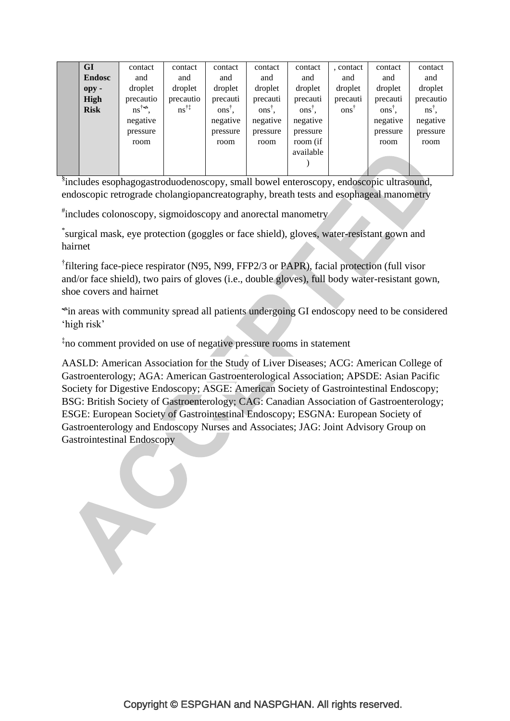| <b>GI</b>     | contact          | contact                | contact           | contact  | contact           | , contact        | contact  | contact                          |
|---------------|------------------|------------------------|-------------------|----------|-------------------|------------------|----------|----------------------------------|
| <b>Endosc</b> | and              | and                    | and               | and      | and               | and              | and      | and                              |
| $opy -$       | droplet          | droplet                | droplet           | droplet  | droplet           | droplet          | droplet  | droplet                          |
| High          | precautio        | precautio              | precauti          | precauti | precauti          | precauti         | precauti | precautio                        |
| <b>Risk</b>   | $ns^{\dagger}$ . | $ns^{\dagger\ddagger}$ | $ons^{\dagger}$ . | $ons†$ , | $ons^{\dagger}$ , | ons <sup>†</sup> | $ons†$ . | $\mathbf{n}\mathbf{s}^{\dagger}$ |
|               | negative         |                        | negative          | negative | negative          |                  | negative | negative                         |
|               | pressure         |                        | pressure          | pressure | pressure          |                  | pressure | pressure                         |
|               | room             |                        | room              | room     | room (if          |                  | room     | room                             |
|               |                  |                        |                   |          | available         |                  |          |                                  |
|               |                  |                        |                   |          |                   |                  |          |                                  |
|               |                  |                        |                   |          |                   |                  |          |                                  |

§ includes esophagogastroduodenoscopy, small bowel enteroscopy, endoscopic ultrasound, endoscopic retrograde cholangiopancreatography, breath tests and esophageal manometry

# includes colonoscopy, sigmoidoscopy and anorectal manometry

\* surgical mask, eye protection (goggles or face shield), gloves, water-resistant gown and hairnet

<sup>†</sup>filtering face-piece respirator (N95, N99, FFP2/3 or PAPR), facial protection (full visor and/or face shield), two pairs of gloves (i.e., double gloves), full body water-resistant gown, shoe covers and hairnet

in areas with community spread all patients undergoing GI endoscopy need to be considered 'high risk'

‡ no comment provided on use of negative pressure rooms in statement

Y

AASLD: American Association for the Study of Liver Diseases; ACG: American College of Gastroenterology; AGA: American Gastroenterological Association; APSDE: Asian Pacific Society for Digestive Endoscopy; ASGE: American Society of Gastrointestinal Endoscopy; BSG: British Society of Gastroenterology; CAG: Canadian Association of Gastroenterology; ESGE: European Society of Gastrointestinal Endoscopy; ESGNA: European Society of Gastroenterology and Endoscopy Nurses and Associates; JAG: Joint Advisory Group on Gastrointestinal Endoscopy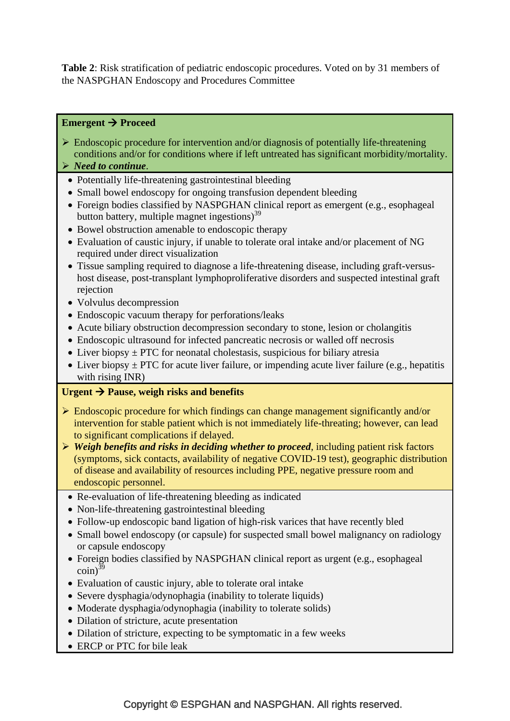**Table 2**: Risk stratification of pediatric endoscopic procedures. Voted on by 31 members of the NASPGHAN Endoscopy and Procedures Committee

# **Emergent → Proceed**

- $\triangleright$  Endoscopic procedure for intervention and/or diagnosis of potentially life-threatening conditions and/or for conditions where if left untreated has significant morbidity/mortality.
- *Need to continue*.
- Potentially life-threatening gastrointestinal bleeding
- Small bowel endoscopy for ongoing transfusion dependent bleeding
- Foreign bodies classified by NASPGHAN clinical report as emergent (e.g., esophageal button battery, multiple magnet ingestions) $39$
- Bowel obstruction amenable to endoscopic therapy
- Evaluation of caustic injury, if unable to tolerate oral intake and/or placement of NG required under direct visualization
- Tissue sampling required to diagnose a life-threatening disease, including graft-versushost disease, post-transplant lymphoproliferative disorders and suspected intestinal graft rejection
- Volvulus decompression
- Endoscopic vacuum therapy for perforations/leaks
- Acute biliary obstruction decompression secondary to stone, lesion or cholangitis
- Endoscopic ultrasound for infected pancreatic necrosis or walled off necrosis
- Liver biopsy  $\pm$  PTC for neonatal cholestasis, suspicious for biliary atresia
- Liver biopsy  $\pm$  PTC for acute liver failure, or impending acute liver failure (e.g., hepatitis with rising INR)

# Urgent  $\rightarrow$  Pause, weigh risks and benefits

- $\triangleright$  Endoscopic procedure for which findings can change management significantly and/or intervention for stable patient which is not immediately life-threating; however, can lead to significant complications if delayed.
- *Weigh benefits and risks in deciding whether to proceed*, including patient risk factors (symptoms, sick contacts, availability of negative COVID-19 test), geographic distribution of disease and availability of resources including PPE, negative pressure room and endoscopic personnel.
	- Re-evaluation of life-threatening bleeding as indicated
	- Non-life-threatening gastrointestinal bleeding
	- Follow-up endoscopic band ligation of high-risk varices that have recently bled
	- Small bowel endoscopy (or capsule) for suspected small bowel malignancy on radiology or capsule endoscopy
	- Foreign bodies classified by NASPGHAN clinical report as urgent (e.g., esophageal  $\text{coin}^{39}$
	- Evaluation of caustic injury, able to tolerate oral intake
	- Severe dysphagia/odynophagia (inability to tolerate liquids)
	- Moderate dysphagia/odynophagia (inability to tolerate solids)
	- Dilation of stricture, acute presentation
	- Dilation of stricture, expecting to be symptomatic in a few weeks
- ERCP or PTC for bile leak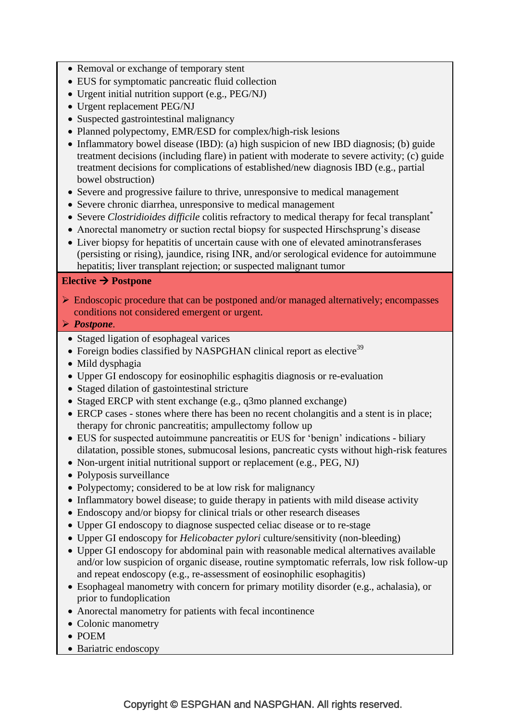- Removal or exchange of temporary stent
- EUS for symptomatic pancreatic fluid collection
- Urgent initial nutrition support (e.g., PEG/NJ)
- Urgent replacement PEG/NJ
- Suspected gastrointestinal malignancy
- Planned polypectomy, EMR/ESD for complex/high-risk lesions
- Inflammatory bowel disease (IBD): (a) high suspicion of new IBD diagnosis; (b) guide treatment decisions (including flare) in patient with moderate to severe activity; (c) guide treatment decisions for complications of established/new diagnosis IBD (e.g., partial bowel obstruction)
- Severe and progressive failure to thrive, unresponsive to medical management
- Severe chronic diarrhea, unresponsive to medical management
- Severe *Clostridioides difficile* colitis refractory to medical therapy for fecal transplant\*
- Anorectal manometry or suction rectal biopsy for suspected Hirschsprung's disease
- Liver biopsy for hepatitis of uncertain cause with one of elevated aminotransferases (persisting or rising), jaundice, rising INR, and/or serological evidence for autoimmune hepatitis; liver transplant rejection; or suspected malignant tumor

# Elective  $\rightarrow$  Postpone

 $\triangleright$  Endoscopic procedure that can be postponed and/or managed alternatively; encompasses conditions not considered emergent or urgent.

*Postpone.*

- Staged ligation of esophageal varices
- Foreign bodies classified by NASPGHAN clinical report as elective<sup>39</sup>
- Mild dysphagia
- Upper GI endoscopy for eosinophilic esphagitis diagnosis or re-evaluation
- Staged dilation of gastointestinal stricture
- Staged ERCP with stent exchange (e.g., q3mo planned exchange)
- ERCP cases stones where there has been no recent cholangitis and a stent is in place; therapy for chronic pancreatitis; ampullectomy follow up
- EUS for suspected autoimmune pancreatitis or EUS for "benign" indications biliary dilatation, possible stones, submucosal lesions, pancreatic cysts without high-risk features
- Non-urgent initial nutritional support or replacement (e.g., PEG, NJ)
- Polyposis surveillance
- Polypectomy; considered to be at low risk for malignancy
- Inflammatory bowel disease; to guide therapy in patients with mild disease activity
- Endoscopy and/or biopsy for clinical trials or other research diseases
- Upper GI endoscopy to diagnose suspected celiac disease or to re-stage
- Upper GI endoscopy for *Helicobacter pylori* culture/sensitivity (non-bleeding)
- Upper GI endoscopy for abdominal pain with reasonable medical alternatives available and/or low suspicion of organic disease, routine symptomatic referrals, low risk follow-up and repeat endoscopy (e.g., re-assessment of eosinophilic esophagitis)
- Esophageal manometry with concern for primary motility disorder (e.g., achalasia), or prior to fundoplication
- Anorectal manometry for patients with fecal incontinence
- Colonic manometry
- POEM
- Bariatric endoscopy